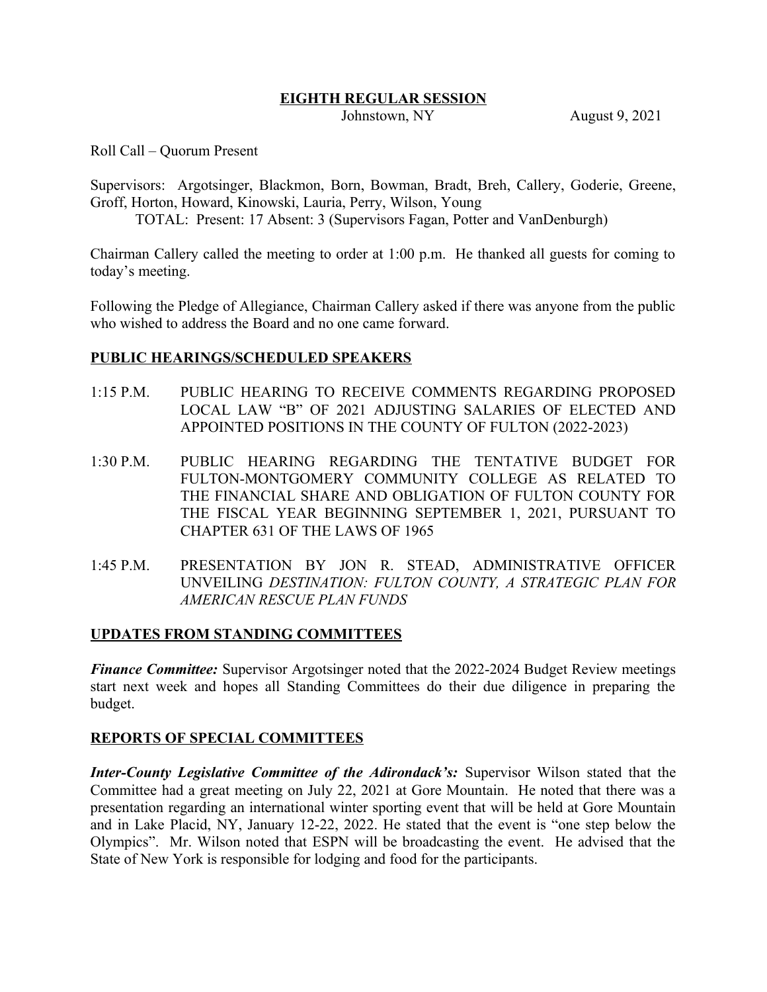#### **EIGHTH REGULAR SESSION**

Johnstown, NY August 9, 2021

Roll Call – Quorum Present

Supervisors: Argotsinger, Blackmon, Born, Bowman, Bradt, Breh, Callery, Goderie, Greene, Groff, Horton, Howard, Kinowski, Lauria, Perry, Wilson, Young

TOTAL: Present: 17 Absent: 3 (Supervisors Fagan, Potter and VanDenburgh)

Chairman Callery called the meeting to order at 1:00 p.m. He thanked all guests for coming to today's meeting.

Following the Pledge of Allegiance, Chairman Callery asked if there was anyone from the public who wished to address the Board and no one came forward.

### **PUBLIC HEARINGS/SCHEDULED SPEAKERS**

- 1:15 P.M. PUBLIC HEARING TO RECEIVE COMMENTS REGARDING PROPOSED LOCAL LAW "B" OF 2021 ADJUSTING SALARIES OF ELECTED AND APPOINTED POSITIONS IN THE COUNTY OF FULTON (2022-2023)
- 1:30 P.M. PUBLIC HEARING REGARDING THE TENTATIVE BUDGET FOR FULTON-MONTGOMERY COMMUNITY COLLEGE AS RELATED TO THE FINANCIAL SHARE AND OBLIGATION OF FULTON COUNTY FOR THE FISCAL YEAR BEGINNING SEPTEMBER 1, 2021, PURSUANT TO CHAPTER 631 OF THE LAWS OF 1965
- 1:45 P.M. PRESENTATION BY JON R. STEAD, ADMINISTRATIVE OFFICER UNVEILING *DESTINATION: FULTON COUNTY, A STRATEGIC PLAN FOR AMERICAN RESCUE PLAN FUNDS*

## **UPDATES FROM STANDING COMMITTEES**

*Finance Committee:* Supervisor Argotsinger noted that the 2022-2024 Budget Review meetings start next week and hopes all Standing Committees do their due diligence in preparing the budget.

### **REPORTS OF SPECIAL COMMITTEES**

*Inter-County Legislative Committee of the Adirondack's:* Supervisor Wilson stated that the Committee had a great meeting on July 22, 2021 at Gore Mountain. He noted that there was a presentation regarding an international winter sporting event that will be held at Gore Mountain and in Lake Placid, NY, January 12-22, 2022. He stated that the event is "one step below the Olympics". Mr. Wilson noted that ESPN will be broadcasting the event. He advised that the State of New York is responsible for lodging and food for the participants.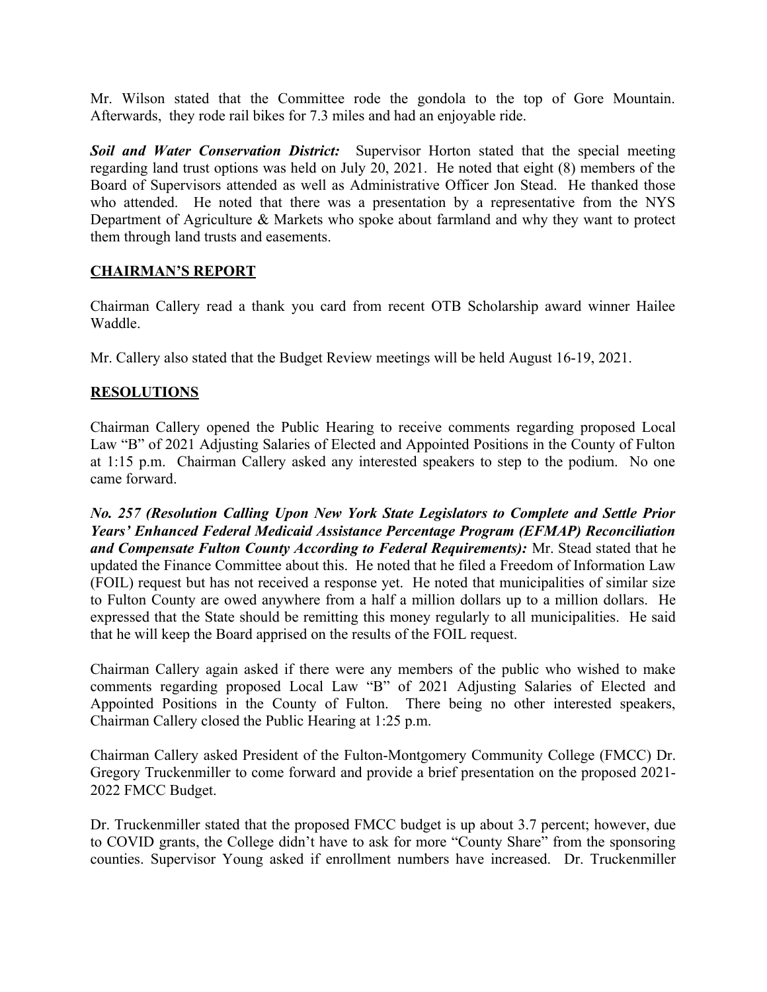Mr. Wilson stated that the Committee rode the gondola to the top of Gore Mountain. Afterwards, they rode rail bikes for 7.3 miles and had an enjoyable ride.

*Soil and Water Conservation District:* Supervisor Horton stated that the special meeting regarding land trust options was held on July 20, 2021. He noted that eight (8) members of the Board of Supervisors attended as well as Administrative Officer Jon Stead. He thanked those who attended. He noted that there was a presentation by a representative from the NYS Department of Agriculture & Markets who spoke about farmland and why they want to protect them through land trusts and easements.

## **CHAIRMAN'S REPORT**

Chairman Callery read a thank you card from recent OTB Scholarship award winner Hailee Waddle.

Mr. Callery also stated that the Budget Review meetings will be held August 16-19, 2021.

## **RESOLUTIONS**

Chairman Callery opened the Public Hearing to receive comments regarding proposed Local Law "B" of 2021 Adjusting Salaries of Elected and Appointed Positions in the County of Fulton at 1:15 p.m. Chairman Callery asked any interested speakers to step to the podium. No one came forward.

*No. 257 (Resolution Calling Upon New York State Legislators to Complete and Settle Prior Years' Enhanced Federal Medicaid Assistance Percentage Program (EFMAP) Reconciliation and Compensate Fulton County According to Federal Requirements):* Mr. Stead stated that he updated the Finance Committee about this. He noted that he filed a Freedom of Information Law (FOIL) request but has not received a response yet. He noted that municipalities of similar size to Fulton County are owed anywhere from a half a million dollars up to a million dollars. He expressed that the State should be remitting this money regularly to all municipalities. He said that he will keep the Board apprised on the results of the FOIL request.

Chairman Callery again asked if there were any members of the public who wished to make comments regarding proposed Local Law "B" of 2021 Adjusting Salaries of Elected and Appointed Positions in the County of Fulton. There being no other interested speakers, Chairman Callery closed the Public Hearing at 1:25 p.m.

Chairman Callery asked President of the Fulton-Montgomery Community College (FMCC) Dr. Gregory Truckenmiller to come forward and provide a brief presentation on the proposed 2021- 2022 FMCC Budget.

Dr. Truckenmiller stated that the proposed FMCC budget is up about 3.7 percent; however, due to COVID grants, the College didn't have to ask for more "County Share" from the sponsoring counties. Supervisor Young asked if enrollment numbers have increased. Dr. Truckenmiller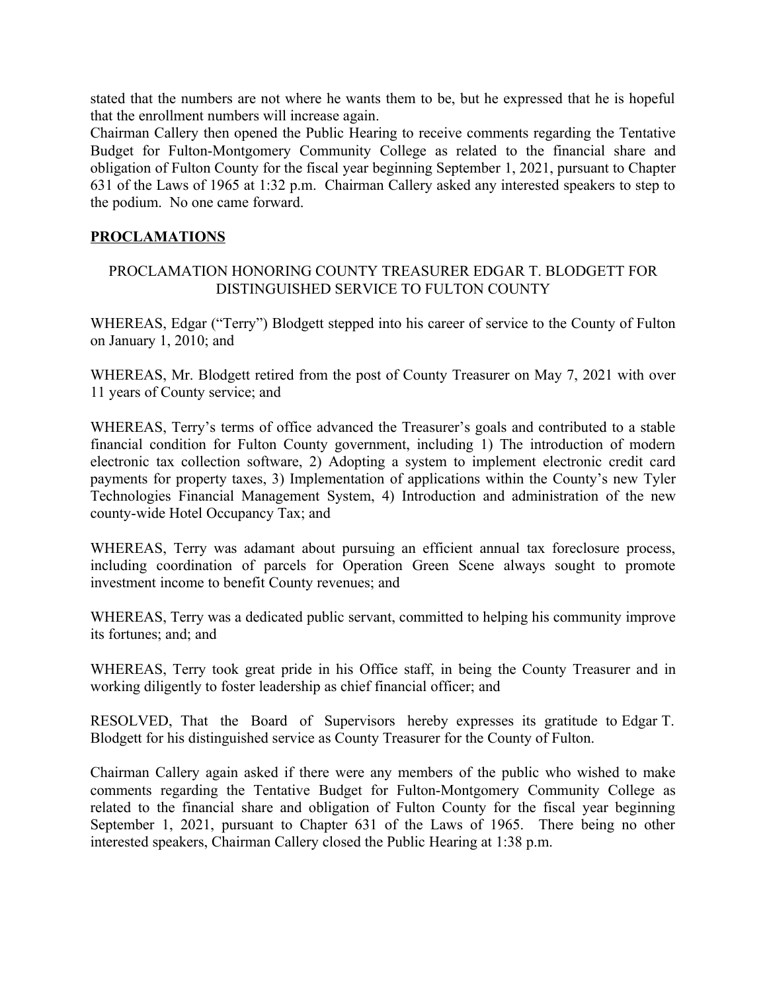stated that the numbers are not where he wants them to be, but he expressed that he is hopeful that the enrollment numbers will increase again.

Chairman Callery then opened the Public Hearing to receive comments regarding the Tentative Budget for Fulton-Montgomery Community College as related to the financial share and obligation of Fulton County for the fiscal year beginning September 1, 2021, pursuant to Chapter 631 of the Laws of 1965 at 1:32 p.m. Chairman Callery asked any interested speakers to step to the podium. No one came forward.

## **PROCLAMATIONS**

## PROCLAMATION HONORING COUNTY TREASURER EDGAR T. BLODGETT FOR DISTINGUISHED SERVICE TO FULTON COUNTY

WHEREAS, Edgar ("Terry") Blodgett stepped into his career of service to the County of Fulton on January 1, 2010; and

WHEREAS, Mr. Blodgett retired from the post of County Treasurer on May 7, 2021 with over 11 years of County service; and

WHEREAS, Terry's terms of office advanced the Treasurer's goals and contributed to a stable financial condition for Fulton County government, including 1) The introduction of modern electronic tax collection software, 2) Adopting a system to implement electronic credit card payments for property taxes, 3) Implementation of applications within the County's new Tyler Technologies Financial Management System, 4) Introduction and administration of the new county-wide Hotel Occupancy Tax; and

WHEREAS, Terry was adamant about pursuing an efficient annual tax foreclosure process, including coordination of parcels for Operation Green Scene always sought to promote investment income to benefit County revenues; and

WHEREAS, Terry was a dedicated public servant, committed to helping his community improve its fortunes; and; and

WHEREAS, Terry took great pride in his Office staff, in being the County Treasurer and in working diligently to foster leadership as chief financial officer; and

RESOLVED, That the Board of Supervisors hereby expresses its gratitude to Edgar T. Blodgett for his distinguished service as County Treasurer for the County of Fulton.

Chairman Callery again asked if there were any members of the public who wished to make comments regarding the Tentative Budget for Fulton-Montgomery Community College as related to the financial share and obligation of Fulton County for the fiscal year beginning September 1, 2021, pursuant to Chapter 631 of the Laws of 1965. There being no other interested speakers, Chairman Callery closed the Public Hearing at 1:38 p.m.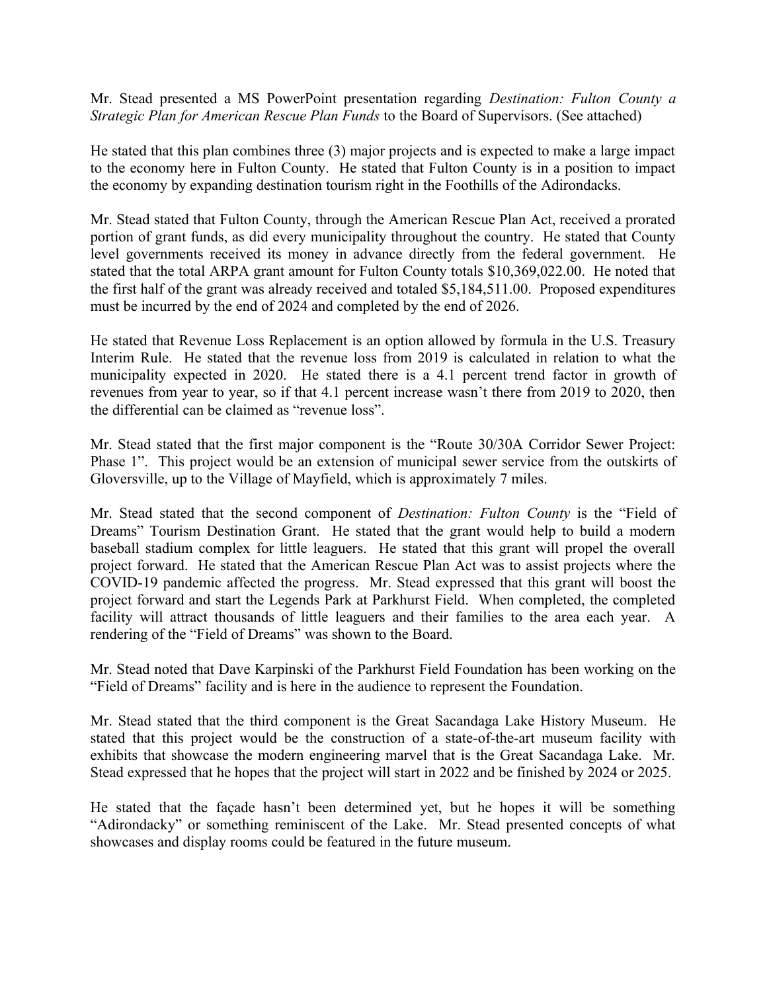Mr. Stead presented a MS PowerPoint presentation regarding *Destination: Fulton County a Strategic Plan for American Rescue Plan Funds* to the Board of Supervisors. (See attached)

He stated that this plan combines three (3) major projects and is expected to make a large impact to the economy here in Fulton County. He stated that Fulton County is in a position to impact the economy by expanding destination tourism right in the Foothills of the Adirondacks.

Mr. Stead stated that Fulton County, through the American Rescue Plan Act, received a prorated portion of grant funds, as did every municipality throughout the country. He stated that County level governments received its money in advance directly from the federal government. He stated that the total ARPA grant amount for Fulton County totals \$10,369,022.00. He noted that the first half of the grant was already received and totaled \$5,184,511.00. Proposed expenditures must be incurred by the end of 2024 and completed by the end of 2026.

He stated that Revenue Loss Replacement is an option allowed by formula in the U.S. Treasury Interim Rule. He stated that the revenue loss from 2019 is calculated in relation to what the municipality expected in 2020. He stated there is a 4.1 percent trend factor in growth of revenues from year to year, so if that 4.1 percent increase wasn't there from 2019 to 2020, then the differential can be claimed as "revenue loss".

Mr. Stead stated that the first major component is the "Route 30/30A Corridor Sewer Project: Phase 1". This project would be an extension of municipal sewer service from the outskirts of Gloversville, up to the Village of Mayfield, which is approximately 7 miles.

Mr. Stead stated that the second component of *Destination: Fulton County* is the "Field of Dreams" Tourism Destination Grant. He stated that the grant would help to build a modern baseball stadium complex for little leaguers. He stated that this grant will propel the overall project forward. He stated that the American Rescue Plan Act was to assist projects where the COVID-19 pandemic affected the progress. Mr. Stead expressed that this grant will boost the project forward and start the Legends Park at Parkhurst Field. When completed, the completed facility will attract thousands of little leaguers and their families to the area each year. A rendering of the "Field of Dreams" was shown to the Board.

Mr. Stead noted that Dave Karpinski of the Parkhurst Field Foundation has been working on the "Field of Dreams" facility and is here in the audience to represent the Foundation.

Mr. Stead stated that the third component is the Great Sacandaga Lake History Museum. He stated that this project would be the construction of a state-of-the-art museum facility with exhibits that showcase the modern engineering marvel that is the Great Sacandaga Lake. Mr. Stead expressed that he hopes that the project will start in 2022 and be finished by 2024 or 2025.

He stated that the façade hasn't been determined yet, but he hopes it will be something "Adirondacky" or something reminiscent of the Lake. Mr. Stead presented concepts of what showcases and display rooms could be featured in the future museum.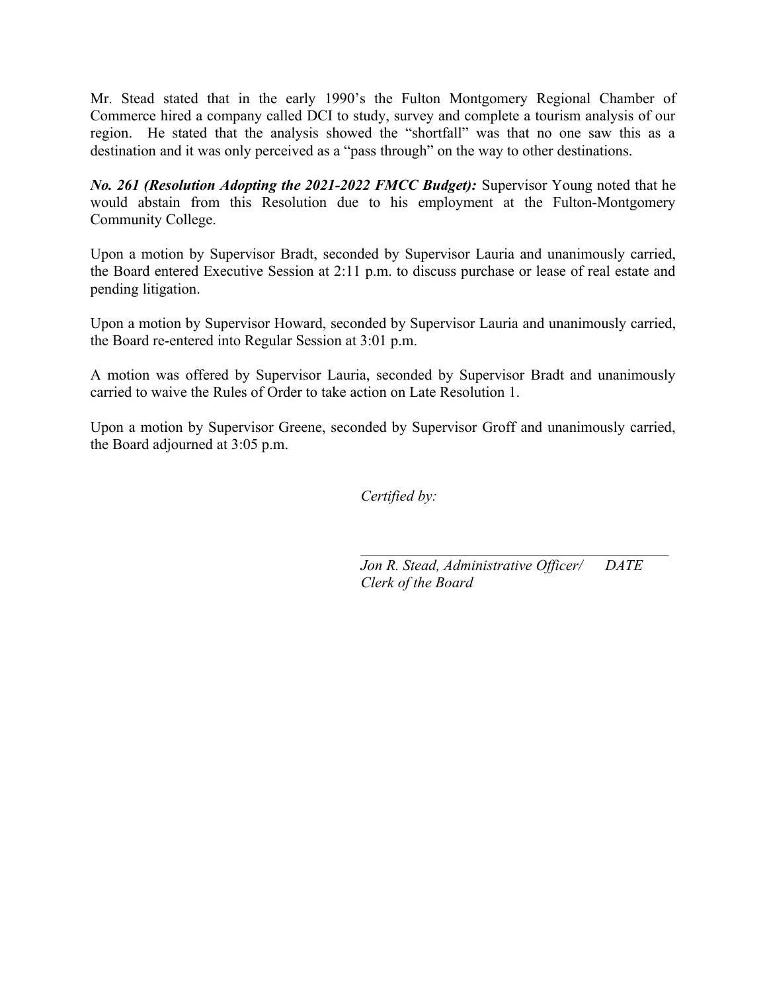Mr. Stead stated that in the early 1990's the Fulton Montgomery Regional Chamber of Commerce hired a company called DCI to study, survey and complete a tourism analysis of our region. He stated that the analysis showed the "shortfall" was that no one saw this as a destination and it was only perceived as a "pass through" on the way to other destinations.

*No. 261 (Resolution Adopting the 2021-2022 FMCC Budget):* Supervisor Young noted that he would abstain from this Resolution due to his employment at the Fulton-Montgomery Community College.

Upon a motion by Supervisor Bradt, seconded by Supervisor Lauria and unanimously carried, the Board entered Executive Session at 2:11 p.m. to discuss purchase or lease of real estate and pending litigation.

Upon a motion by Supervisor Howard, seconded by Supervisor Lauria and unanimously carried, the Board re-entered into Regular Session at 3:01 p.m.

A motion was offered by Supervisor Lauria, seconded by Supervisor Bradt and unanimously carried to waive the Rules of Order to take action on Late Resolution 1.

Upon a motion by Supervisor Greene, seconded by Supervisor Groff and unanimously carried, the Board adjourned at 3:05 p.m.

*Certified by:*

*Jon R. Stead, Administrative Officer/ DATE Clerk of the Board*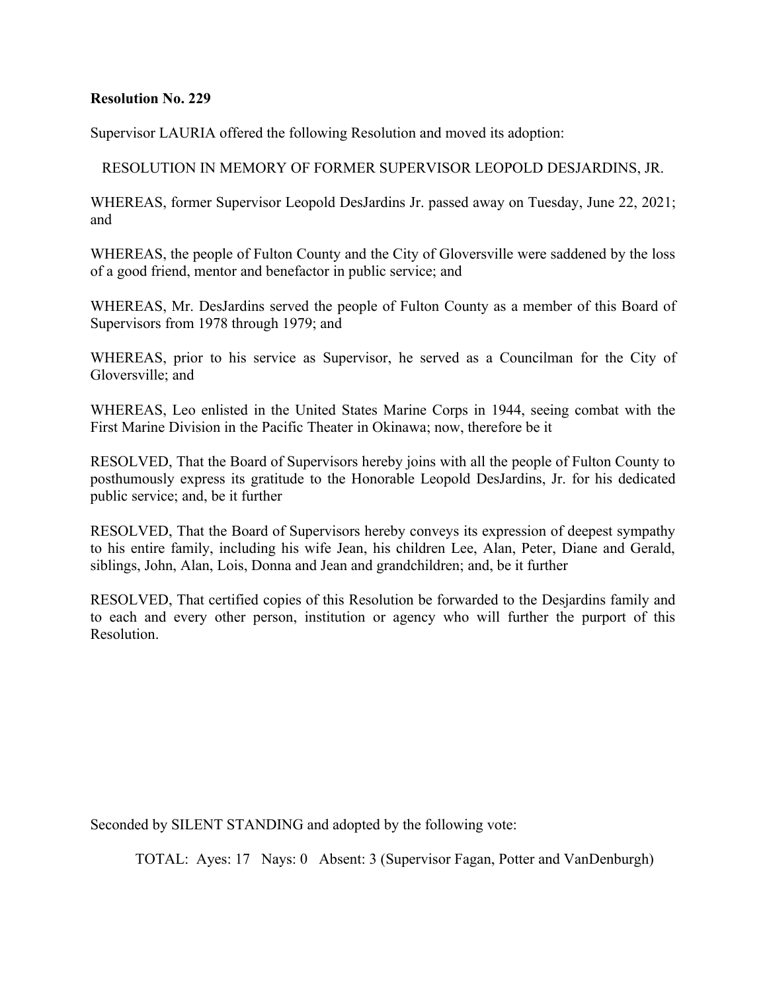Supervisor LAURIA offered the following Resolution and moved its adoption:

RESOLUTION IN MEMORY OF FORMER SUPERVISOR LEOPOLD DESJARDINS, JR.

WHEREAS, former Supervisor Leopold DesJardins Jr. passed away on Tuesday, June 22, 2021; and

WHEREAS, the people of Fulton County and the City of Gloversville were saddened by the loss of a good friend, mentor and benefactor in public service; and

WHEREAS, Mr. DesJardins served the people of Fulton County as a member of this Board of Supervisors from 1978 through 1979; and

WHEREAS, prior to his service as Supervisor, he served as a Councilman for the City of Gloversville; and

WHEREAS, Leo enlisted in the United States Marine Corps in 1944, seeing combat with the First Marine Division in the Pacific Theater in Okinawa; now, therefore be it

RESOLVED, That the Board of Supervisors hereby joins with all the people of Fulton County to posthumously express its gratitude to the Honorable Leopold DesJardins, Jr. for his dedicated public service; and, be it further

RESOLVED, That the Board of Supervisors hereby conveys its expression of deepest sympathy to his entire family, including his wife Jean, his children Lee, Alan, Peter, Diane and Gerald, siblings, John, Alan, Lois, Donna and Jean and grandchildren; and, be it further

RESOLVED, That certified copies of this Resolution be forwarded to the Desjardins family and to each and every other person, institution or agency who will further the purport of this Resolution.

Seconded by SILENT STANDING and adopted by the following vote: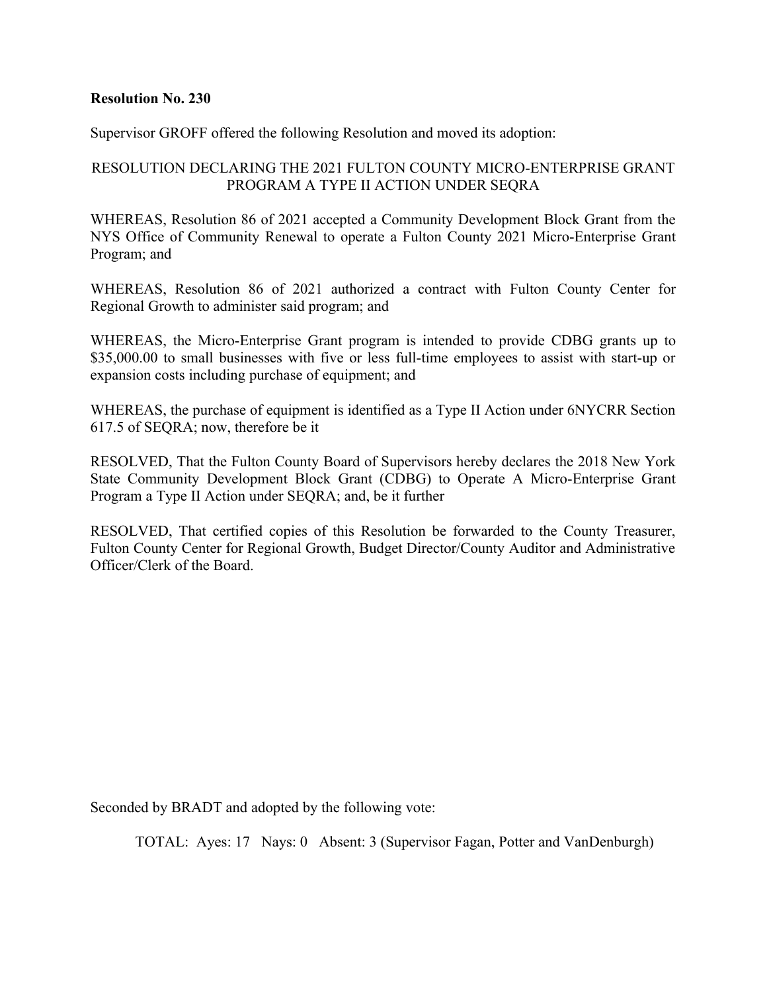Supervisor GROFF offered the following Resolution and moved its adoption:

## RESOLUTION DECLARING THE 2021 FULTON COUNTY MICRO-ENTERPRISE GRANT PROGRAM A TYPE II ACTION UNDER SEQRA

WHEREAS, Resolution 86 of 2021 accepted a Community Development Block Grant from the NYS Office of Community Renewal to operate a Fulton County 2021 Micro-Enterprise Grant Program; and

WHEREAS, Resolution 86 of 2021 authorized a contract with Fulton County Center for Regional Growth to administer said program; and

WHEREAS, the Micro-Enterprise Grant program is intended to provide CDBG grants up to \$35,000.00 to small businesses with five or less full-time employees to assist with start-up or expansion costs including purchase of equipment; and

WHEREAS, the purchase of equipment is identified as a Type II Action under 6NYCRR Section 617.5 of SEQRA; now, therefore be it

RESOLVED, That the Fulton County Board of Supervisors hereby declares the 2018 New York State Community Development Block Grant (CDBG) to Operate A Micro-Enterprise Grant Program a Type II Action under SEQRA; and, be it further

RESOLVED, That certified copies of this Resolution be forwarded to the County Treasurer, Fulton County Center for Regional Growth, Budget Director/County Auditor and Administrative Officer/Clerk of the Board.

Seconded by BRADT and adopted by the following vote: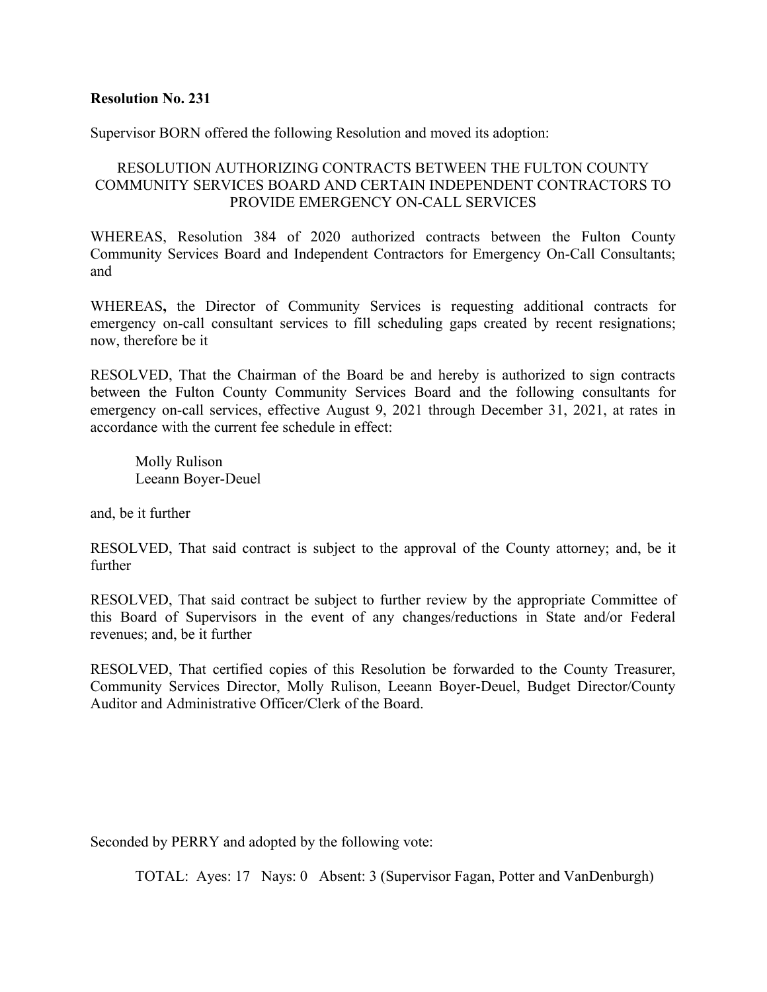Supervisor BORN offered the following Resolution and moved its adoption:

## RESOLUTION AUTHORIZING CONTRACTS BETWEEN THE FULTON COUNTY COMMUNITY SERVICES BOARD AND CERTAIN INDEPENDENT CONTRACTORS TO PROVIDE EMERGENCY ON-CALL SERVICES

WHEREAS, Resolution 384 of 2020 authorized contracts between the Fulton County Community Services Board and Independent Contractors for Emergency On-Call Consultants; and

WHEREAS**,** the Director of Community Services is requesting additional contracts for emergency on-call consultant services to fill scheduling gaps created by recent resignations; now, therefore be it

RESOLVED, That the Chairman of the Board be and hereby is authorized to sign contracts between the Fulton County Community Services Board and the following consultants for emergency on-call services, effective August 9, 2021 through December 31, 2021, at rates in accordance with the current fee schedule in effect:

Molly Rulison Leeann Boyer-Deuel

and, be it further

RESOLVED, That said contract is subject to the approval of the County attorney; and, be it further

RESOLVED, That said contract be subject to further review by the appropriate Committee of this Board of Supervisors in the event of any changes/reductions in State and/or Federal revenues; and, be it further

RESOLVED, That certified copies of this Resolution be forwarded to the County Treasurer, Community Services Director, Molly Rulison, Leeann Boyer-Deuel, Budget Director/County Auditor and Administrative Officer/Clerk of the Board.

Seconded by PERRY and adopted by the following vote: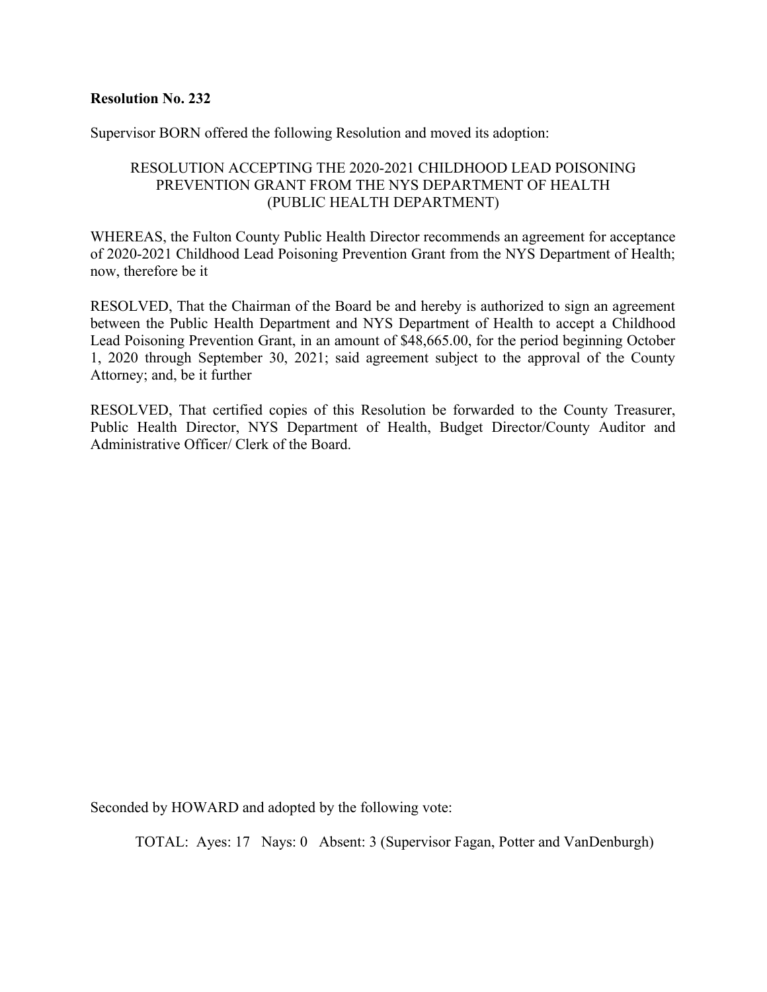Supervisor BORN offered the following Resolution and moved its adoption:

## RESOLUTION ACCEPTING THE 2020-2021 CHILDHOOD LEAD POISONING PREVENTION GRANT FROM THE NYS DEPARTMENT OF HEALTH (PUBLIC HEALTH DEPARTMENT)

WHEREAS, the Fulton County Public Health Director recommends an agreement for acceptance of 2020-2021 Childhood Lead Poisoning Prevention Grant from the NYS Department of Health; now, therefore be it

RESOLVED, That the Chairman of the Board be and hereby is authorized to sign an agreement between the Public Health Department and NYS Department of Health to accept a Childhood Lead Poisoning Prevention Grant, in an amount of \$48,665.00, for the period beginning October 1, 2020 through September 30, 2021; said agreement subject to the approval of the County Attorney; and, be it further

RESOLVED, That certified copies of this Resolution be forwarded to the County Treasurer, Public Health Director, NYS Department of Health, Budget Director/County Auditor and Administrative Officer/ Clerk of the Board.

Seconded by HOWARD and adopted by the following vote: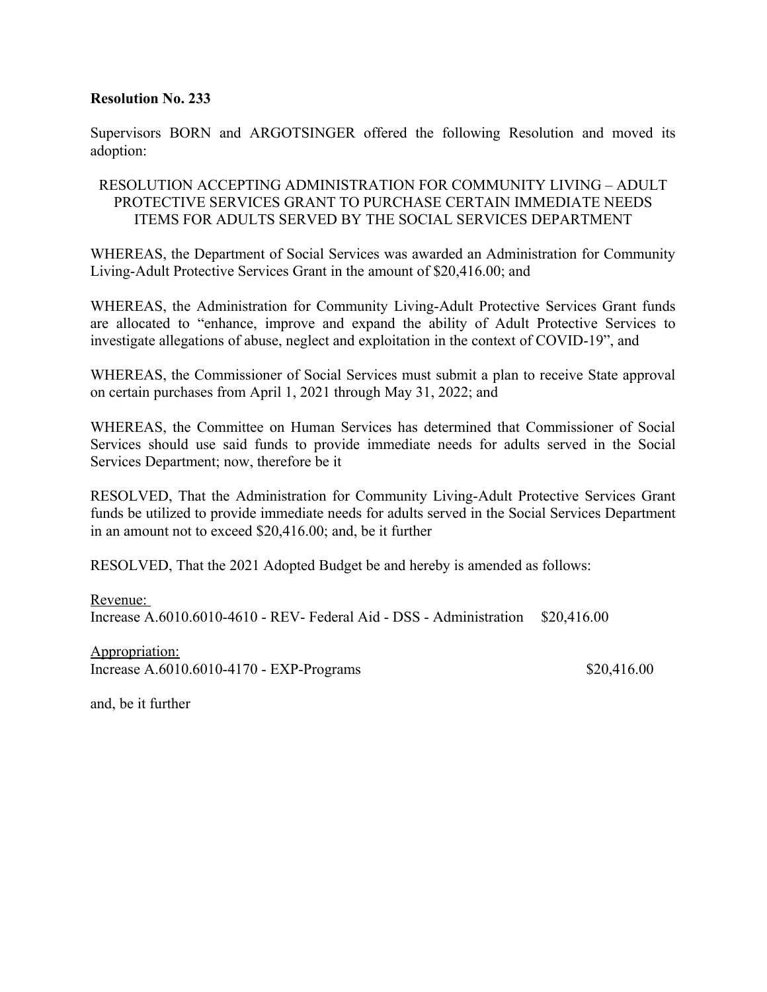Supervisors BORN and ARGOTSINGER offered the following Resolution and moved its adoption:

## RESOLUTION ACCEPTING ADMINISTRATION FOR COMMUNITY LIVING – ADULT PROTECTIVE SERVICES GRANT TO PURCHASE CERTAIN IMMEDIATE NEEDS ITEMS FOR ADULTS SERVED BY THE SOCIAL SERVICES DEPARTMENT

WHEREAS, the Department of Social Services was awarded an Administration for Community Living-Adult Protective Services Grant in the amount of \$20,416.00; and

WHEREAS, the Administration for Community Living-Adult Protective Services Grant funds are allocated to "enhance, improve and expand the ability of Adult Protective Services to investigate allegations of abuse, neglect and exploitation in the context of COVID-19", and

WHEREAS, the Commissioner of Social Services must submit a plan to receive State approval on certain purchases from April 1, 2021 through May 31, 2022; and

WHEREAS, the Committee on Human Services has determined that Commissioner of Social Services should use said funds to provide immediate needs for adults served in the Social Services Department; now, therefore be it

RESOLVED, That the Administration for Community Living-Adult Protective Services Grant funds be utilized to provide immediate needs for adults served in the Social Services Department in an amount not to exceed \$20,416.00; and, be it further

RESOLVED, That the 2021 Adopted Budget be and hereby is amended as follows:

Revenue: Increase A.6010.6010-4610 - REV- Federal Aid - DSS - Administration \$20,416.00

Appropriation: Increase A.6010.6010-4170 - EXP-Programs \$20,416.00

and, be it further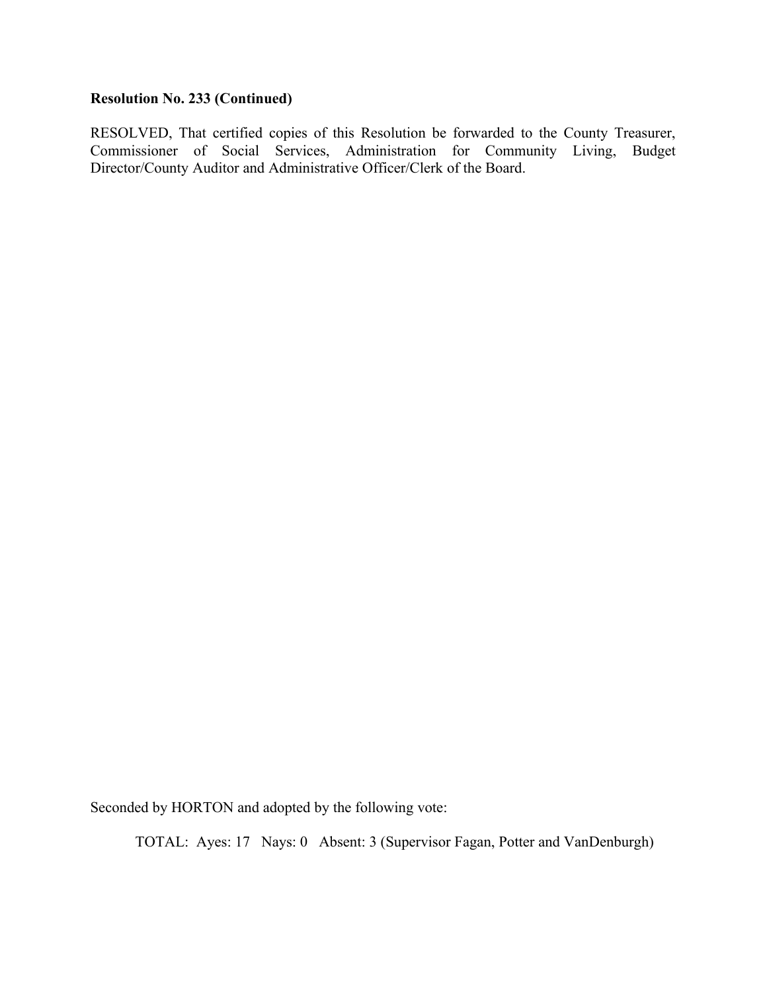## **Resolution No. 233 (Continued)**

RESOLVED, That certified copies of this Resolution be forwarded to the County Treasurer, Commissioner of Social Services, Administration for Community Living, Budget Director/County Auditor and Administrative Officer/Clerk of the Board.

Seconded by HORTON and adopted by the following vote: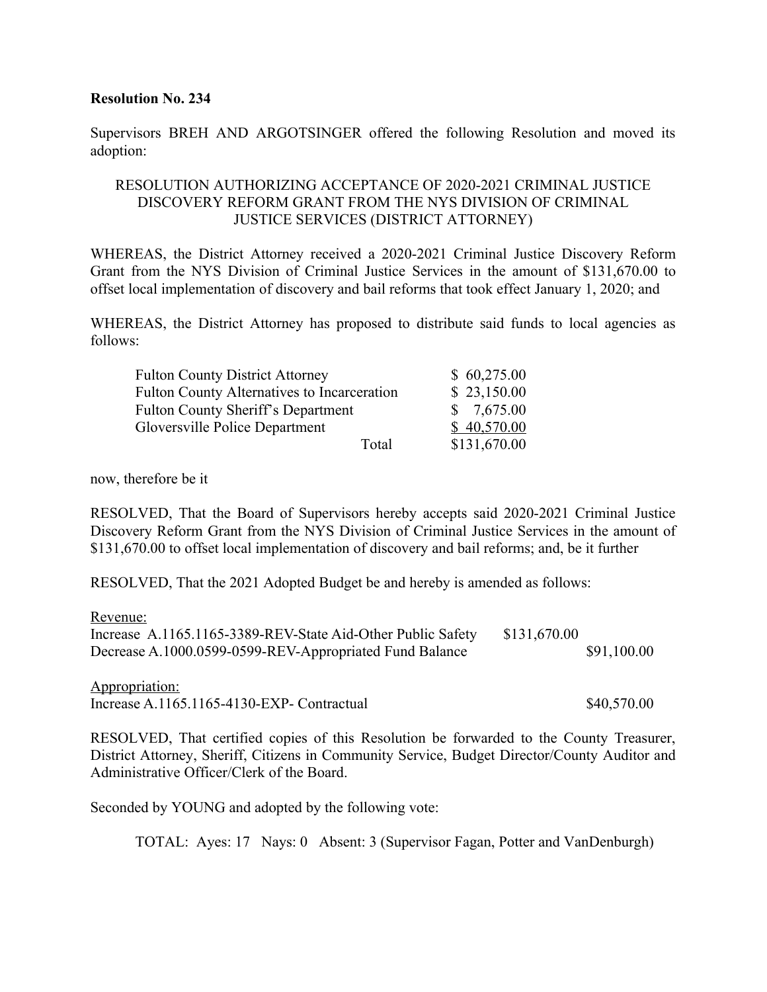Supervisors BREH AND ARGOTSINGER offered the following Resolution and moved its adoption:

## RESOLUTION AUTHORIZING ACCEPTANCE OF 2020-2021 CRIMINAL JUSTICE DISCOVERY REFORM GRANT FROM THE NYS DIVISION OF CRIMINAL JUSTICE SERVICES (DISTRICT ATTORNEY)

WHEREAS, the District Attorney received a 2020-2021 Criminal Justice Discovery Reform Grant from the NYS Division of Criminal Justice Services in the amount of \$131,670.00 to offset local implementation of discovery and bail reforms that took effect January 1, 2020; and

WHEREAS, the District Attorney has proposed to distribute said funds to local agencies as follows:

| <b>Fulton County District Attorney</b>             | \$60,275.00  |
|----------------------------------------------------|--------------|
| <b>Fulton County Alternatives to Incarceration</b> | \$23,150.00  |
| <b>Fulton County Sheriff's Department</b>          | \$7,675.00   |
| <b>Gloversville Police Department</b>              | \$40,570.00  |
| Total                                              | \$131,670.00 |

now, therefore be it

RESOLVED, That the Board of Supervisors hereby accepts said 2020-2021 Criminal Justice Discovery Reform Grant from the NYS Division of Criminal Justice Services in the amount of \$131,670.00 to offset local implementation of discovery and bail reforms; and, be it further

RESOLVED, That the 2021 Adopted Budget be and hereby is amended as follows:

Revenue:

| Increase A.1165.1165-3389-REV-State Aid-Other Public Safety | \$131,670.00 |
|-------------------------------------------------------------|--------------|
| Decrease A.1000.0599-0599-REV-Appropriated Fund Balance     | \$91,100.00  |

Appropriation: Increase A.1165.1165-4130-EXP- Contractual \$40,570.00

RESOLVED, That certified copies of this Resolution be forwarded to the County Treasurer, District Attorney, Sheriff, Citizens in Community Service, Budget Director/County Auditor and Administrative Officer/Clerk of the Board.

Seconded by YOUNG and adopted by the following vote: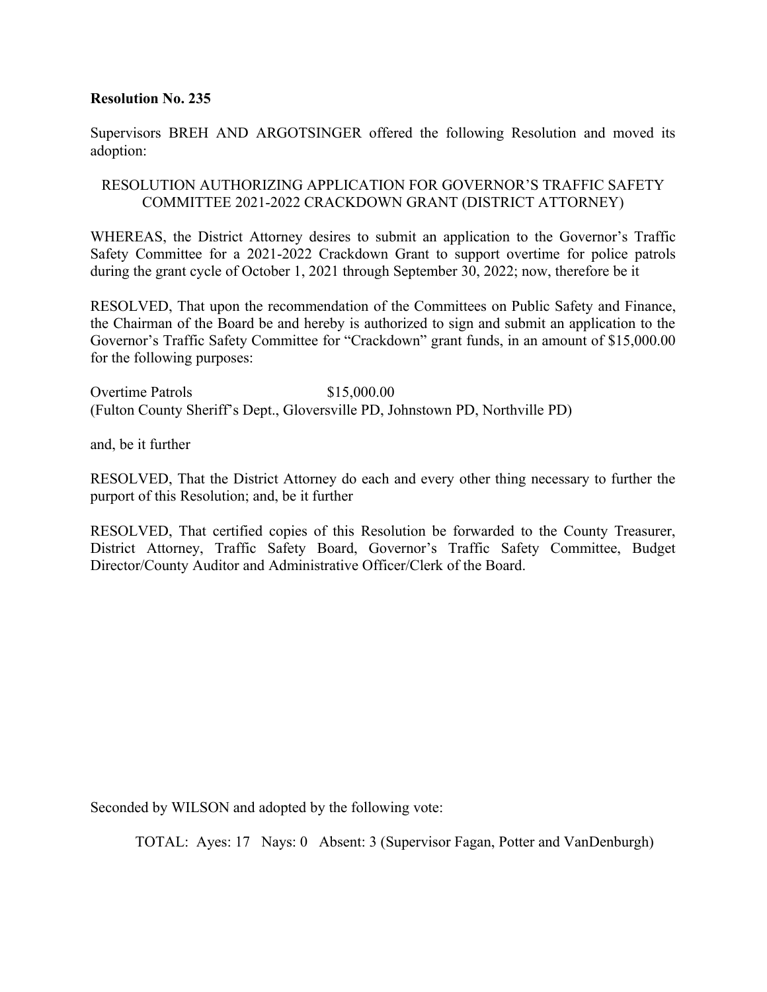Supervisors BREH AND ARGOTSINGER offered the following Resolution and moved its adoption:

## RESOLUTION AUTHORIZING APPLICATION FOR GOVERNOR'S TRAFFIC SAFETY COMMITTEE 2021-2022 CRACKDOWN GRANT (DISTRICT ATTORNEY)

WHEREAS, the District Attorney desires to submit an application to the Governor's Traffic Safety Committee for a 2021-2022 Crackdown Grant to support overtime for police patrols during the grant cycle of October 1, 2021 through September 30, 2022; now, therefore be it

RESOLVED, That upon the recommendation of the Committees on Public Safety and Finance, the Chairman of the Board be and hereby is authorized to sign and submit an application to the Governor's Traffic Safety Committee for "Crackdown" grant funds, in an amount of \$15,000.00 for the following purposes:

Overtime Patrols \$15,000.00 (Fulton County Sheriff's Dept., Gloversville PD, Johnstown PD, Northville PD)

and, be it further

RESOLVED, That the District Attorney do each and every other thing necessary to further the purport of this Resolution; and, be it further

RESOLVED, That certified copies of this Resolution be forwarded to the County Treasurer, District Attorney, Traffic Safety Board, Governor's Traffic Safety Committee, Budget Director/County Auditor and Administrative Officer/Clerk of the Board.

Seconded by WILSON and adopted by the following vote: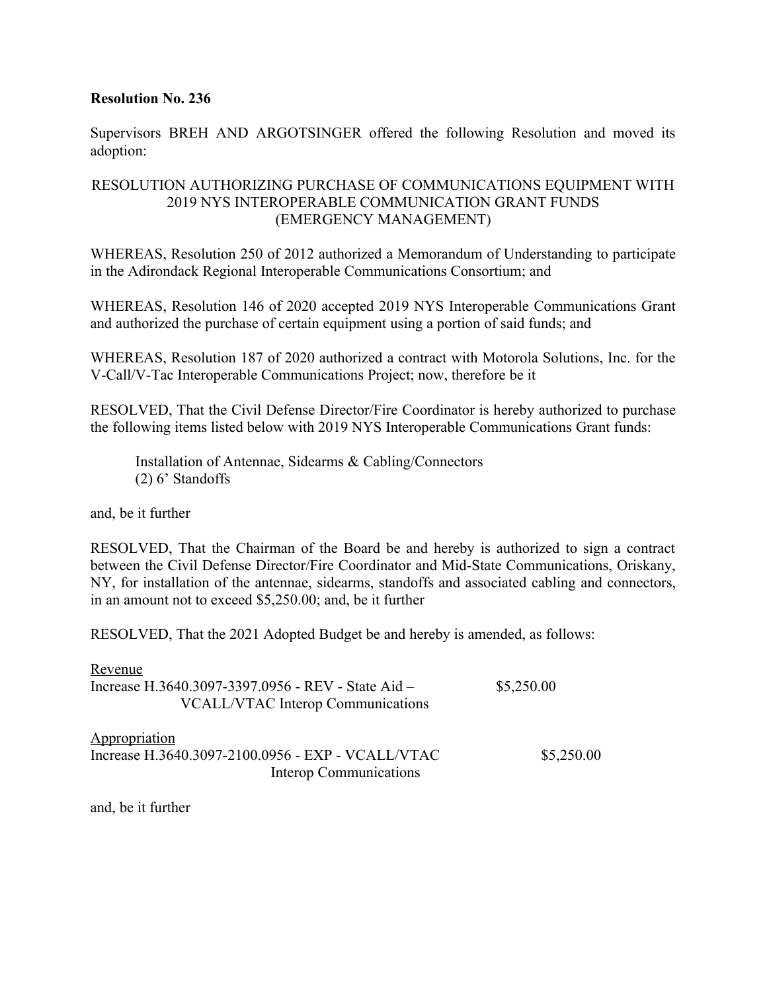Supervisors BREH AND ARGOTSINGER offered the following Resolution and moved its adoption:

## RESOLUTION AUTHORIZING PURCHASE OF COMMUNICATIONS EQUIPMENT WITH 2019 NYS INTEROPERABLE COMMUNICATION GRANT FUNDS (EMERGENCY MANAGEMENT)

WHEREAS, Resolution 250 of 2012 authorized a Memorandum of Understanding to participate in the Adirondack Regional Interoperable Communications Consortium; and

WHEREAS, Resolution 146 of 2020 accepted 2019 NYS Interoperable Communications Grant and authorized the purchase of certain equipment using a portion of said funds; and

WHEREAS, Resolution 187 of 2020 authorized a contract with Motorola Solutions, Inc. for the V-Call/V-Tac Interoperable Communications Project; now, therefore be it

RESOLVED, That the Civil Defense Director/Fire Coordinator is hereby authorized to purchase the following items listed below with 2019 NYS Interoperable Communications Grant funds:

Installation of Antennae, Sidearms & Cabling/Connectors (2) 6' Standoffs

and, be it further

RESOLVED, That the Chairman of the Board be and hereby is authorized to sign a contract between the Civil Defense Director/Fire Coordinator and Mid-State Communications, Oriskany, NY, for installation of the antennae, sidearms, standoffs and associated cabling and connectors, in an amount not to exceed \$5,250.00; and, be it further

RESOLVED, That the 2021 Adopted Budget be and hereby is amended, as follows:

| Revenue                                            |            |
|----------------------------------------------------|------------|
| Increase H.3640.3097-3397.0956 - REV - State Aid - | \$5,250.00 |
| <b>VCALL/VTAC Interop Communications</b>           |            |
|                                                    |            |

| $\frac{1}{2}$                                     |            |
|---------------------------------------------------|------------|
| Increase H.3640.3097-2100.0956 - EXP - VCALL/VTAC | \$5,250.00 |
| Interop Communications                            |            |

and, be it further

Appropriation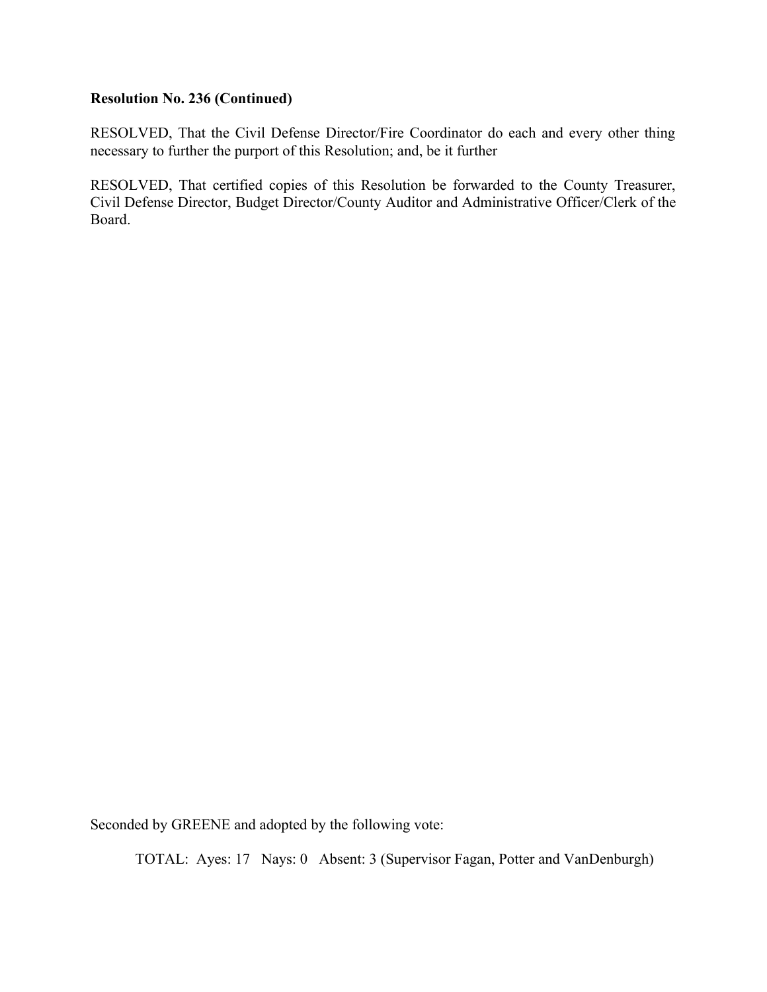#### **Resolution No. 236 (Continued)**

RESOLVED, That the Civil Defense Director/Fire Coordinator do each and every other thing necessary to further the purport of this Resolution; and, be it further

RESOLVED, That certified copies of this Resolution be forwarded to the County Treasurer, Civil Defense Director, Budget Director/County Auditor and Administrative Officer/Clerk of the Board.

Seconded by GREENE and adopted by the following vote: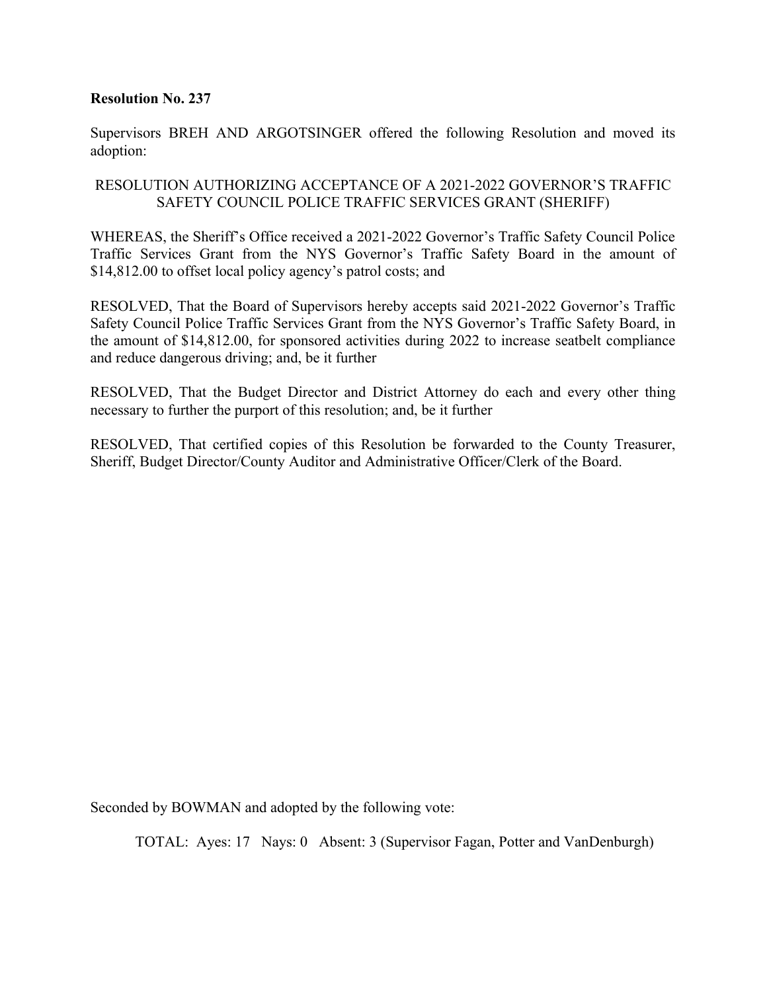Supervisors BREH AND ARGOTSINGER offered the following Resolution and moved its adoption:

## RESOLUTION AUTHORIZING ACCEPTANCE OF A 2021-2022 GOVERNOR'S TRAFFIC SAFETY COUNCIL POLICE TRAFFIC SERVICES GRANT (SHERIFF)

WHEREAS, the Sheriff's Office received a 2021-2022 Governor's Traffic Safety Council Police Traffic Services Grant from the NYS Governor's Traffic Safety Board in the amount of \$14,812.00 to offset local policy agency's patrol costs; and

RESOLVED, That the Board of Supervisors hereby accepts said 2021-2022 Governor's Traffic Safety Council Police Traffic Services Grant from the NYS Governor's Traffic Safety Board, in the amount of \$14,812.00, for sponsored activities during 2022 to increase seatbelt compliance and reduce dangerous driving; and, be it further

RESOLVED, That the Budget Director and District Attorney do each and every other thing necessary to further the purport of this resolution; and, be it further

RESOLVED, That certified copies of this Resolution be forwarded to the County Treasurer, Sheriff, Budget Director/County Auditor and Administrative Officer/Clerk of the Board.

Seconded by BOWMAN and adopted by the following vote: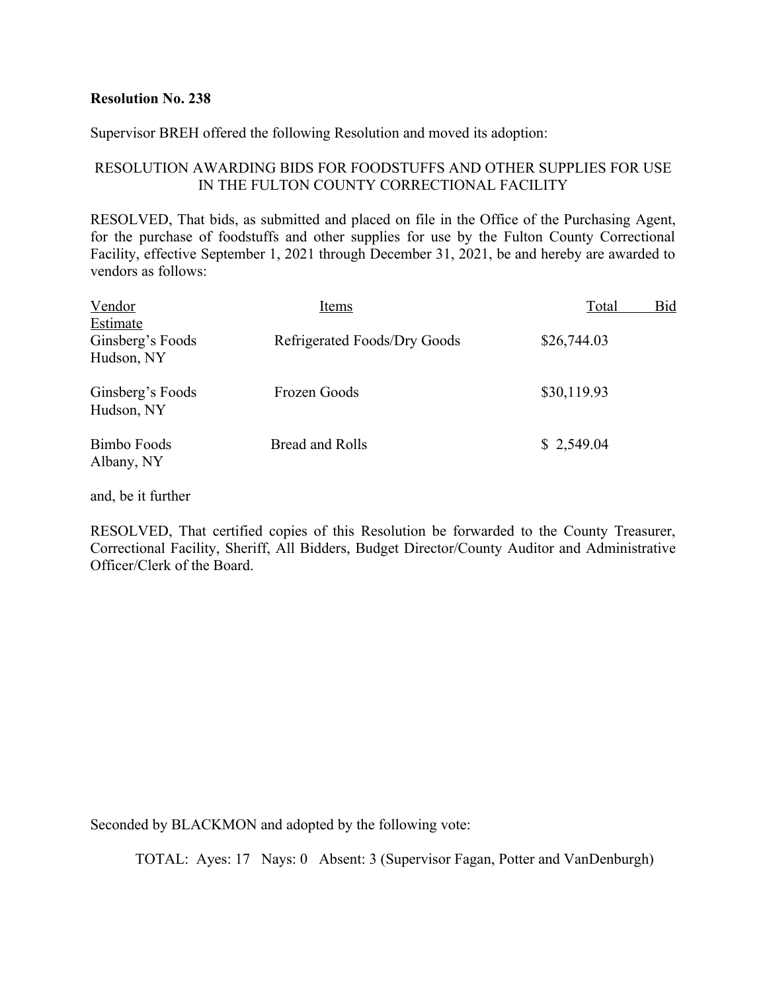Supervisor BREH offered the following Resolution and moved its adoption:

## RESOLUTION AWARDING BIDS FOR FOODSTUFFS AND OTHER SUPPLIES FOR USE IN THE FULTON COUNTY CORRECTIONAL FACILITY

RESOLVED, That bids, as submitted and placed on file in the Office of the Purchasing Agent, for the purchase of foodstuffs and other supplies for use by the Fulton County Correctional Facility, effective September 1, 2021 through December 31, 2021, be and hereby are awarded to vendors as follows:

| Vendor                                     | Items                        | Bid<br>Total |
|--------------------------------------------|------------------------------|--------------|
| Estimate<br>Ginsberg's Foods<br>Hudson, NY | Refrigerated Foods/Dry Goods | \$26,744.03  |
| Ginsberg's Foods<br>Hudson, NY             | Frozen Goods                 | \$30,119.93  |
| Bimbo Foods<br>Albany, NY                  | Bread and Rolls              | \$2,549.04   |

and, be it further

RESOLVED, That certified copies of this Resolution be forwarded to the County Treasurer, Correctional Facility, Sheriff, All Bidders, Budget Director/County Auditor and Administrative Officer/Clerk of the Board.

Seconded by BLACKMON and adopted by the following vote: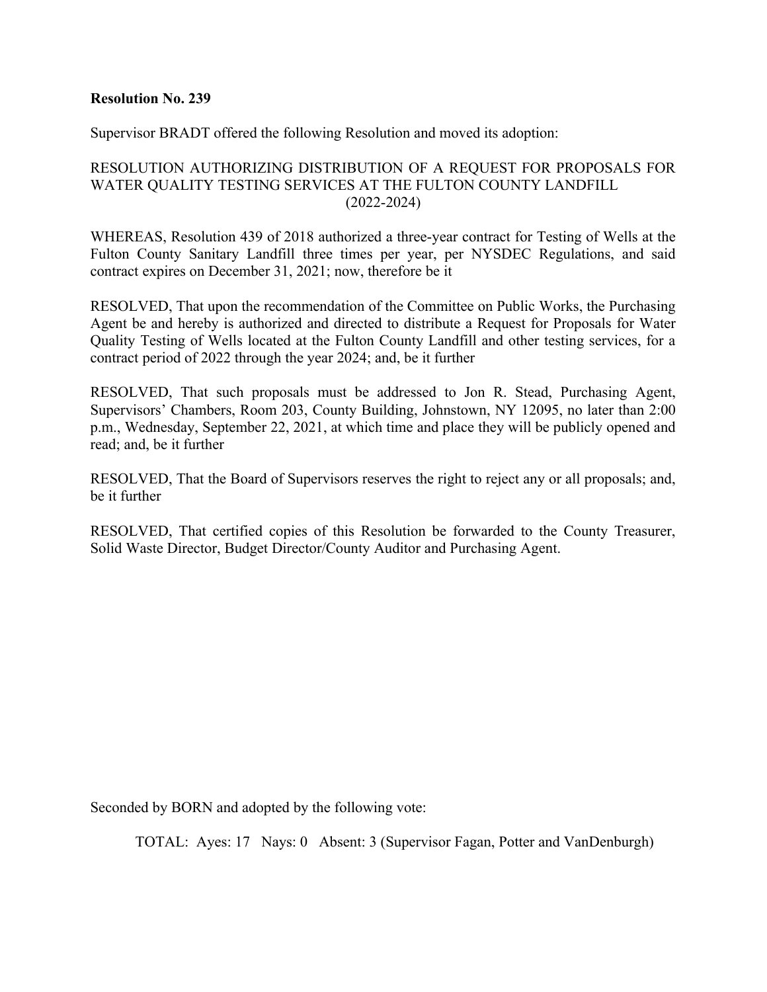Supervisor BRADT offered the following Resolution and moved its adoption:

## RESOLUTION AUTHORIZING DISTRIBUTION OF A REQUEST FOR PROPOSALS FOR WATER QUALITY TESTING SERVICES AT THE FULTON COUNTY LANDFILL (2022-2024)

WHEREAS, Resolution 439 of 2018 authorized a three-year contract for Testing of Wells at the Fulton County Sanitary Landfill three times per year, per NYSDEC Regulations, and said contract expires on December 31, 2021; now, therefore be it

RESOLVED, That upon the recommendation of the Committee on Public Works, the Purchasing Agent be and hereby is authorized and directed to distribute a Request for Proposals for Water Quality Testing of Wells located at the Fulton County Landfill and other testing services, for a contract period of 2022 through the year 2024; and, be it further

RESOLVED, That such proposals must be addressed to Jon R. Stead, Purchasing Agent, Supervisors' Chambers, Room 203, County Building, Johnstown, NY 12095, no later than 2:00 p.m., Wednesday, September 22, 2021, at which time and place they will be publicly opened and read; and, be it further

RESOLVED, That the Board of Supervisors reserves the right to reject any or all proposals; and, be it further

RESOLVED, That certified copies of this Resolution be forwarded to the County Treasurer, Solid Waste Director, Budget Director/County Auditor and Purchasing Agent.

Seconded by BORN and adopted by the following vote: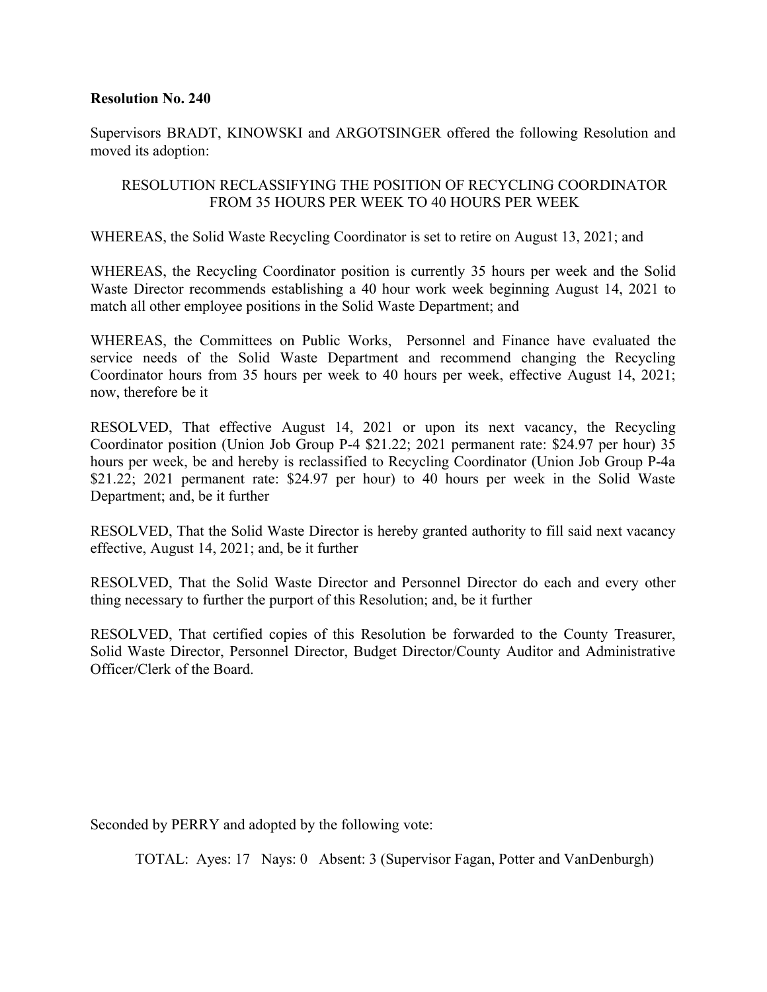Supervisors BRADT, KINOWSKI and ARGOTSINGER offered the following Resolution and moved its adoption:

## RESOLUTION RECLASSIFYING THE POSITION OF RECYCLING COORDINATOR FROM 35 HOURS PER WEEK TO 40 HOURS PER WEEK

WHEREAS, the Solid Waste Recycling Coordinator is set to retire on August 13, 2021; and

WHEREAS, the Recycling Coordinator position is currently 35 hours per week and the Solid Waste Director recommends establishing a 40 hour work week beginning August 14, 2021 to match all other employee positions in the Solid Waste Department; and

WHEREAS, the Committees on Public Works, Personnel and Finance have evaluated the service needs of the Solid Waste Department and recommend changing the Recycling Coordinator hours from 35 hours per week to 40 hours per week, effective August 14, 2021; now, therefore be it

RESOLVED, That effective August 14, 2021 or upon its next vacancy, the Recycling Coordinator position (Union Job Group P-4 \$21.22; 2021 permanent rate: \$24.97 per hour) 35 hours per week, be and hereby is reclassified to Recycling Coordinator (Union Job Group P-4a \$21.22; 2021 permanent rate: \$24.97 per hour) to 40 hours per week in the Solid Waste Department; and, be it further

RESOLVED, That the Solid Waste Director is hereby granted authority to fill said next vacancy effective, August 14, 2021; and, be it further

RESOLVED, That the Solid Waste Director and Personnel Director do each and every other thing necessary to further the purport of this Resolution; and, be it further

RESOLVED, That certified copies of this Resolution be forwarded to the County Treasurer, Solid Waste Director, Personnel Director, Budget Director/County Auditor and Administrative Officer/Clerk of the Board.

Seconded by PERRY and adopted by the following vote: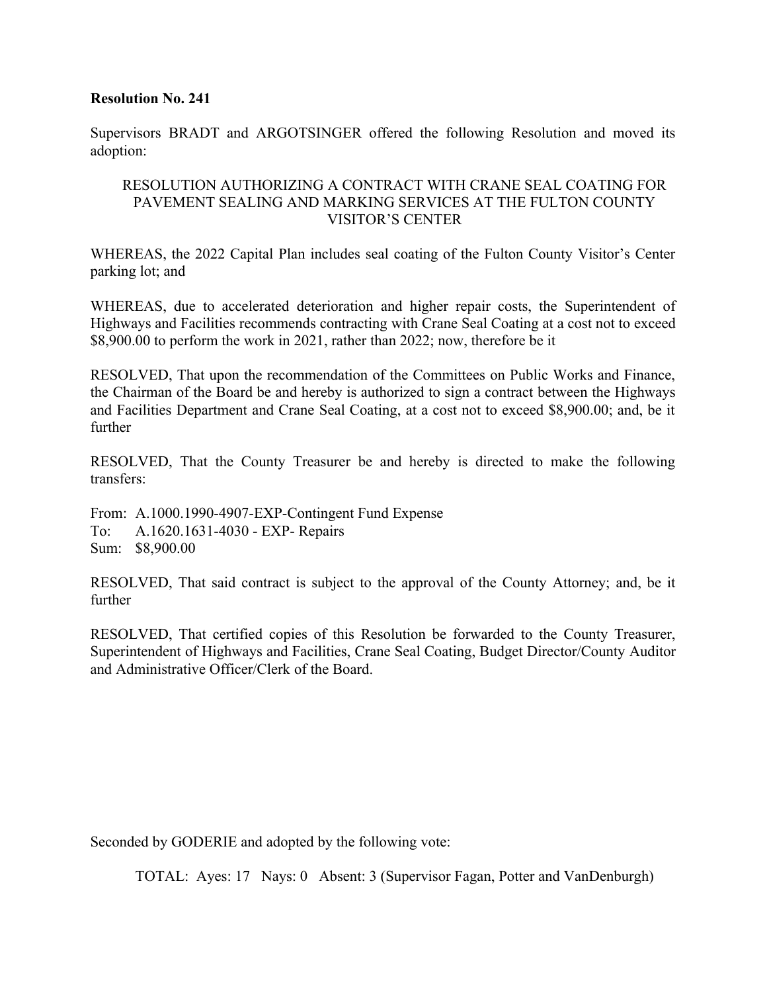Supervisors BRADT and ARGOTSINGER offered the following Resolution and moved its adoption:

## RESOLUTION AUTHORIZING A CONTRACT WITH CRANE SEAL COATING FOR PAVEMENT SEALING AND MARKING SERVICES AT THE FULTON COUNTY VISITOR'S CENTER

WHEREAS, the 2022 Capital Plan includes seal coating of the Fulton County Visitor's Center parking lot; and

WHEREAS, due to accelerated deterioration and higher repair costs, the Superintendent of Highways and Facilities recommends contracting with Crane Seal Coating at a cost not to exceed \$8,900.00 to perform the work in 2021, rather than 2022; now, therefore be it

RESOLVED, That upon the recommendation of the Committees on Public Works and Finance, the Chairman of the Board be and hereby is authorized to sign a contract between the Highways and Facilities Department and Crane Seal Coating, at a cost not to exceed \$8,900.00; and, be it further

RESOLVED, That the County Treasurer be and hereby is directed to make the following transfers:

From: A.1000.1990-4907-EXP-Contingent Fund Expense To: A.1620.1631-4030 - EXP- Repairs Sum: \$8,900.00

RESOLVED, That said contract is subject to the approval of the County Attorney; and, be it further

RESOLVED, That certified copies of this Resolution be forwarded to the County Treasurer, Superintendent of Highways and Facilities, Crane Seal Coating, Budget Director/County Auditor and Administrative Officer/Clerk of the Board.

Seconded by GODERIE and adopted by the following vote: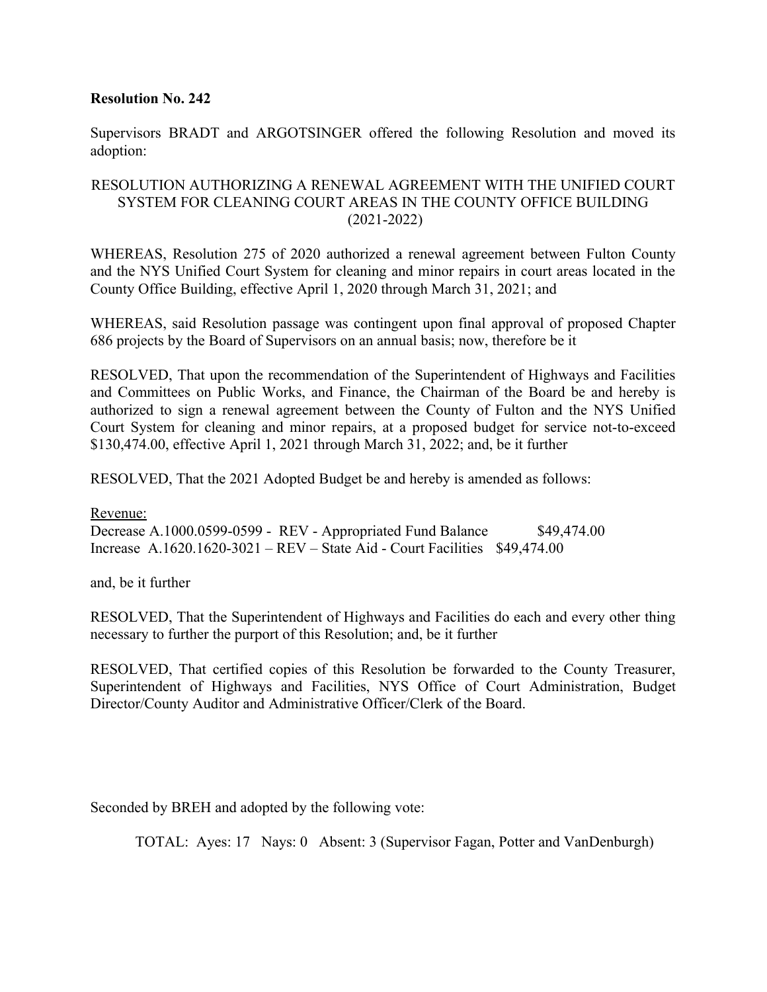Supervisors BRADT and ARGOTSINGER offered the following Resolution and moved its adoption:

## RESOLUTION AUTHORIZING A RENEWAL AGREEMENT WITH THE UNIFIED COURT SYSTEM FOR CLEANING COURT AREAS IN THE COUNTY OFFICE BUILDING (2021-2022)

WHEREAS, Resolution 275 of 2020 authorized a renewal agreement between Fulton County and the NYS Unified Court System for cleaning and minor repairs in court areas located in the County Office Building, effective April 1, 2020 through March 31, 2021; and

WHEREAS, said Resolution passage was contingent upon final approval of proposed Chapter 686 projects by the Board of Supervisors on an annual basis; now, therefore be it

RESOLVED, That upon the recommendation of the Superintendent of Highways and Facilities and Committees on Public Works, and Finance, the Chairman of the Board be and hereby is authorized to sign a renewal agreement between the County of Fulton and the NYS Unified Court System for cleaning and minor repairs, at a proposed budget for service not-to-exceed \$130,474.00, effective April 1, 2021 through March 31, 2022; and, be it further

RESOLVED, That the 2021 Adopted Budget be and hereby is amended as follows:

Revenue: Decrease A.1000.0599-0599 - REV - Appropriated Fund Balance \$49,474.00 Increase A.1620.1620-3021 – REV – State Aid - Court Facilities \$49,474.00

and, be it further

RESOLVED, That the Superintendent of Highways and Facilities do each and every other thing necessary to further the purport of this Resolution; and, be it further

RESOLVED, That certified copies of this Resolution be forwarded to the County Treasurer, Superintendent of Highways and Facilities, NYS Office of Court Administration, Budget Director/County Auditor and Administrative Officer/Clerk of the Board.

Seconded by BREH and adopted by the following vote: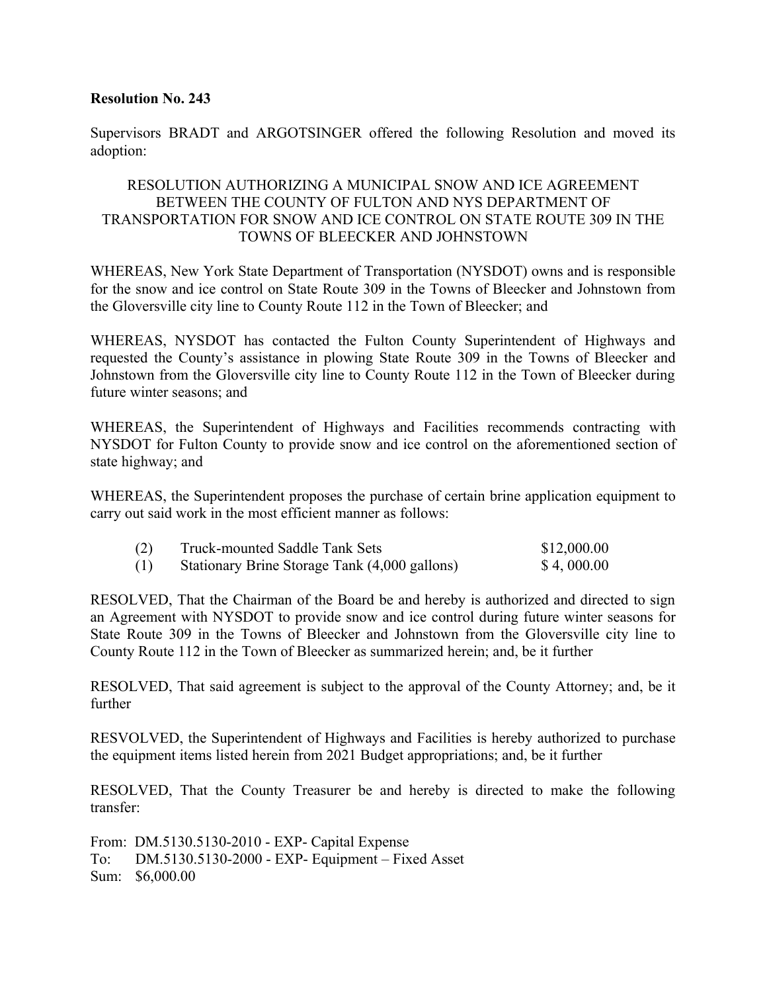Supervisors BRADT and ARGOTSINGER offered the following Resolution and moved its adoption:

## RESOLUTION AUTHORIZING A MUNICIPAL SNOW AND ICE AGREEMENT BETWEEN THE COUNTY OF FULTON AND NYS DEPARTMENT OF TRANSPORTATION FOR SNOW AND ICE CONTROL ON STATE ROUTE 309 IN THE TOWNS OF BLEECKER AND JOHNSTOWN

WHEREAS, New York State Department of Transportation (NYSDOT) owns and is responsible for the snow and ice control on State Route 309 in the Towns of Bleecker and Johnstown from the Gloversville city line to County Route 112 in the Town of Bleecker; and

WHEREAS, NYSDOT has contacted the Fulton County Superintendent of Highways and requested the County's assistance in plowing State Route 309 in the Towns of Bleecker and Johnstown from the Gloversville city line to County Route 112 in the Town of Bleecker during future winter seasons; and

WHEREAS, the Superintendent of Highways and Facilities recommends contracting with NYSDOT for Fulton County to provide snow and ice control on the aforementioned section of state highway; and

WHEREAS, the Superintendent proposes the purchase of certain brine application equipment to carry out said work in the most efficient manner as follows:

| (2) | <b>Truck-mounted Saddle Tank Sets</b>         | \$12,000.00 |
|-----|-----------------------------------------------|-------------|
| (1) | Stationary Brine Storage Tank (4,000 gallons) | \$4,000.00  |

RESOLVED, That the Chairman of the Board be and hereby is authorized and directed to sign an Agreement with NYSDOT to provide snow and ice control during future winter seasons for State Route 309 in the Towns of Bleecker and Johnstown from the Gloversville city line to County Route 112 in the Town of Bleecker as summarized herein; and, be it further

RESOLVED, That said agreement is subject to the approval of the County Attorney; and, be it further

RESVOLVED, the Superintendent of Highways and Facilities is hereby authorized to purchase the equipment items listed herein from 2021 Budget appropriations; and, be it further

RESOLVED, That the County Treasurer be and hereby is directed to make the following transfer:

From: DM.5130.5130-2010 - EXP- Capital Expense To: DM.5130.5130-2000 - EXP- Equipment – Fixed Asset Sum: \$6,000.00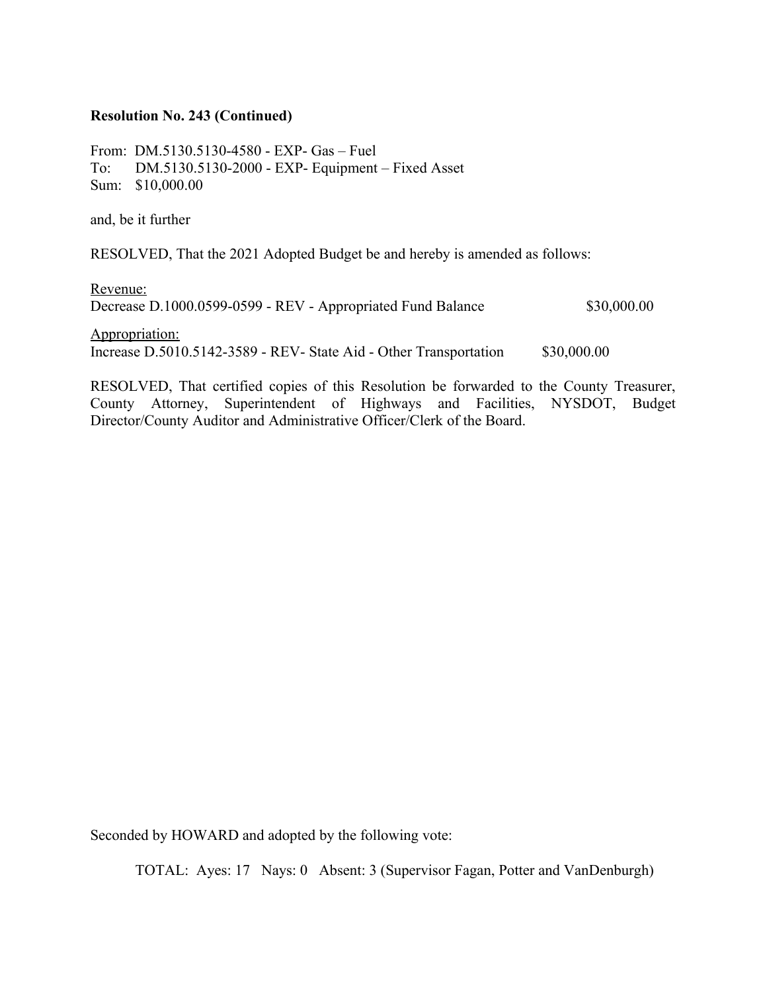#### **Resolution No. 243 (Continued)**

From: DM.5130.5130-4580 - EXP- Gas – Fuel To: DM.5130.5130-2000 - EXP- Equipment – Fixed Asset Sum: \$10,000.00

and, be it further

RESOLVED, That the 2021 Adopted Budget be and hereby is amended as follows:

Revenue:

| Decrease D.1000.0599-0599 - REV - Appropriated Fund Balance       | \$30,000.00 |
|-------------------------------------------------------------------|-------------|
| Appropriation:                                                    |             |
| Increase D.5010.5142-3589 - REV- State Aid - Other Transportation | \$30,000.00 |

RESOLVED, That certified copies of this Resolution be forwarded to the County Treasurer, County Attorney, Superintendent of Highways and Facilities, NYSDOT, Budget Director/County Auditor and Administrative Officer/Clerk of the Board.

Seconded by HOWARD and adopted by the following vote: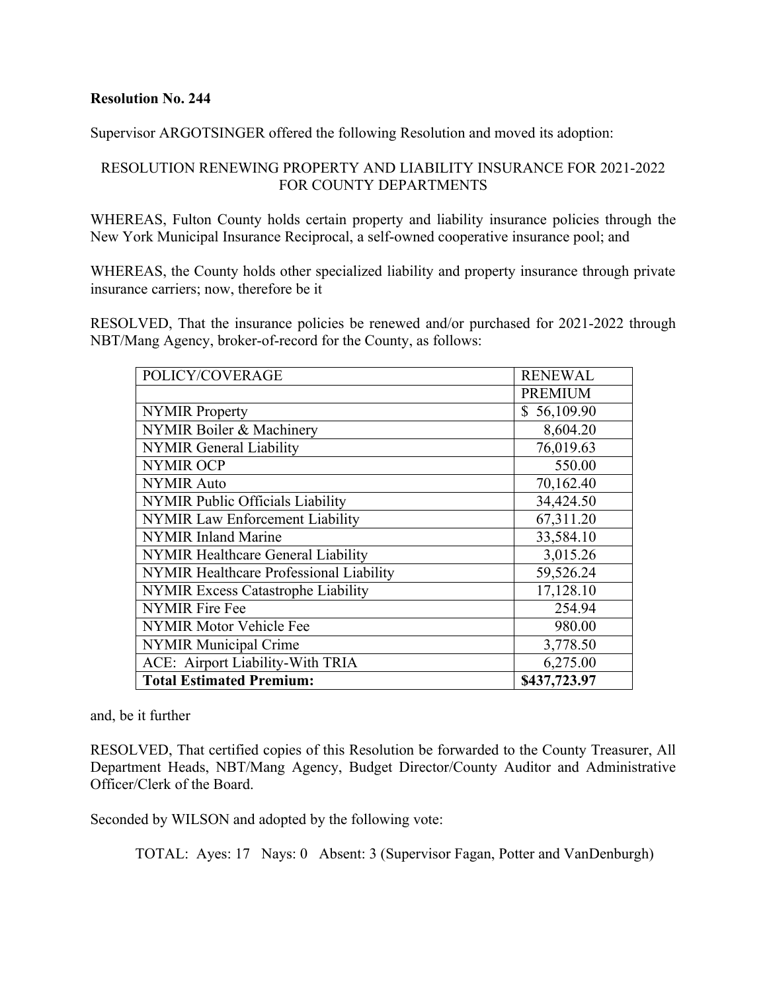Supervisor ARGOTSINGER offered the following Resolution and moved its adoption:

## RESOLUTION RENEWING PROPERTY AND LIABILITY INSURANCE FOR 2021-2022 FOR COUNTY DEPARTMENTS

WHEREAS, Fulton County holds certain property and liability insurance policies through the New York Municipal Insurance Reciprocal, a self-owned cooperative insurance pool; and

WHEREAS, the County holds other specialized liability and property insurance through private insurance carriers; now, therefore be it

RESOLVED, That the insurance policies be renewed and/or purchased for 2021-2022 through NBT/Mang Agency, broker-of-record for the County, as follows:

| POLICY/COVERAGE                           | <b>RENEWAL</b> |
|-------------------------------------------|----------------|
|                                           | <b>PREMIUM</b> |
| <b>NYMIR Property</b>                     | \$56,109.90    |
| NYMIR Boiler & Machinery                  | 8,604.20       |
| <b>NYMIR General Liability</b>            | 76,019.63      |
| <b>NYMIR OCP</b>                          | 550.00         |
| <b>NYMIR Auto</b>                         | 70,162.40      |
| <b>NYMIR Public Officials Liability</b>   | 34,424.50      |
| <b>NYMIR Law Enforcement Liability</b>    | 67,311.20      |
| <b>NYMIR Inland Marine</b>                | 33,584.10      |
| NYMIR Healthcare General Liability        | 3,015.26       |
| NYMIR Healthcare Professional Liability   | 59,526.24      |
| <b>NYMIR Excess Catastrophe Liability</b> | 17,128.10      |
| <b>NYMIR Fire Fee</b>                     | 254.94         |
| <b>NYMIR Motor Vehicle Fee</b>            | 980.00         |
| <b>NYMIR Municipal Crime</b>              | 3,778.50       |
| ACE: Airport Liability-With TRIA          | 6,275.00       |
| <b>Total Estimated Premium:</b>           | \$437,723.97   |

and, be it further

RESOLVED, That certified copies of this Resolution be forwarded to the County Treasurer, All Department Heads, NBT/Mang Agency, Budget Director/County Auditor and Administrative Officer/Clerk of the Board.

Seconded by WILSON and adopted by the following vote: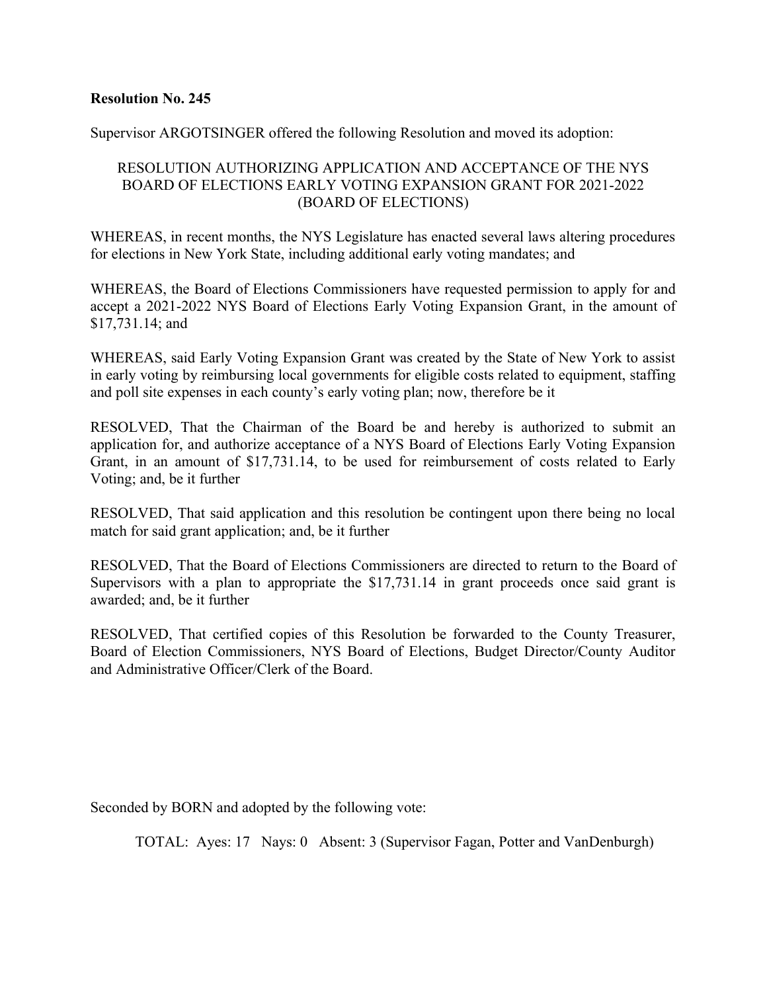Supervisor ARGOTSINGER offered the following Resolution and moved its adoption:

## RESOLUTION AUTHORIZING APPLICATION AND ACCEPTANCE OF THE NYS BOARD OF ELECTIONS EARLY VOTING EXPANSION GRANT FOR 2021-2022 (BOARD OF ELECTIONS)

WHEREAS, in recent months, the NYS Legislature has enacted several laws altering procedures for elections in New York State, including additional early voting mandates; and

WHEREAS, the Board of Elections Commissioners have requested permission to apply for and accept a 2021-2022 NYS Board of Elections Early Voting Expansion Grant, in the amount of \$17,731.14; and

WHEREAS, said Early Voting Expansion Grant was created by the State of New York to assist in early voting by reimbursing local governments for eligible costs related to equipment, staffing and poll site expenses in each county's early voting plan; now, therefore be it

RESOLVED, That the Chairman of the Board be and hereby is authorized to submit an application for, and authorize acceptance of a NYS Board of Elections Early Voting Expansion Grant, in an amount of \$17,731.14, to be used for reimbursement of costs related to Early Voting; and, be it further

RESOLVED, That said application and this resolution be contingent upon there being no local match for said grant application; and, be it further

RESOLVED, That the Board of Elections Commissioners are directed to return to the Board of Supervisors with a plan to appropriate the \$17,731.14 in grant proceeds once said grant is awarded; and, be it further

RESOLVED, That certified copies of this Resolution be forwarded to the County Treasurer, Board of Election Commissioners, NYS Board of Elections, Budget Director/County Auditor and Administrative Officer/Clerk of the Board.

Seconded by BORN and adopted by the following vote: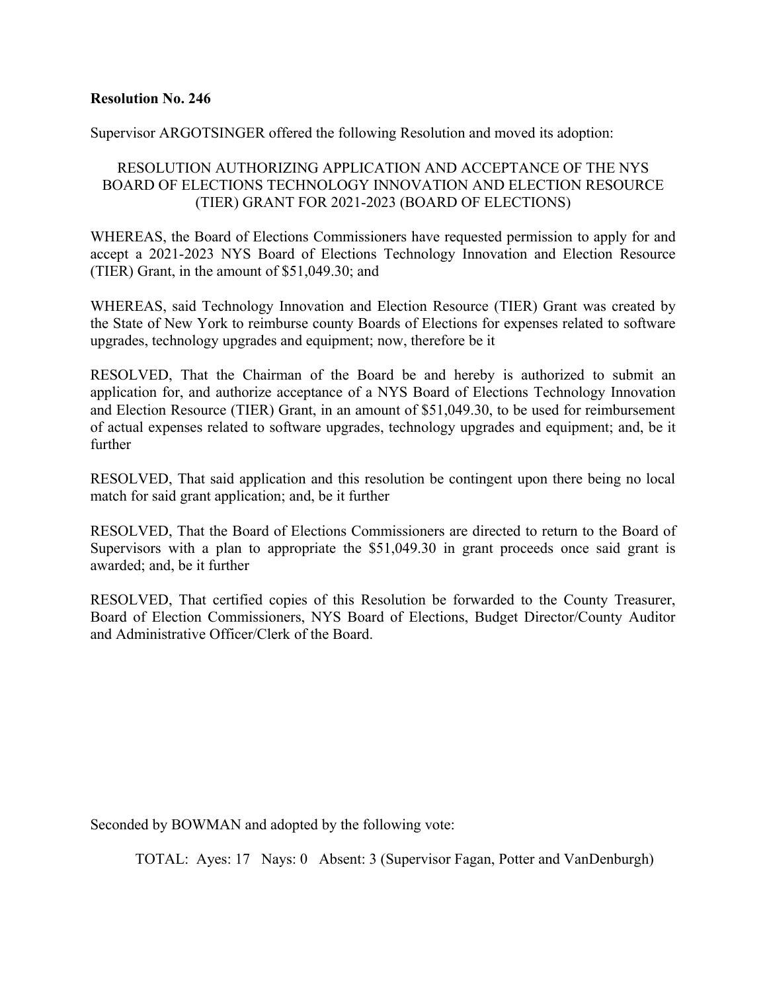Supervisor ARGOTSINGER offered the following Resolution and moved its adoption:

## RESOLUTION AUTHORIZING APPLICATION AND ACCEPTANCE OF THE NYS BOARD OF ELECTIONS TECHNOLOGY INNOVATION AND ELECTION RESOURCE (TIER) GRANT FOR 2021-2023 (BOARD OF ELECTIONS)

WHEREAS, the Board of Elections Commissioners have requested permission to apply for and accept a 2021-2023 NYS Board of Elections Technology Innovation and Election Resource (TIER) Grant, in the amount of \$51,049.30; and

WHEREAS, said Technology Innovation and Election Resource (TIER) Grant was created by the State of New York to reimburse county Boards of Elections for expenses related to software upgrades, technology upgrades and equipment; now, therefore be it

RESOLVED, That the Chairman of the Board be and hereby is authorized to submit an application for, and authorize acceptance of a NYS Board of Elections Technology Innovation and Election Resource (TIER) Grant, in an amount of \$51,049.30, to be used for reimbursement of actual expenses related to software upgrades, technology upgrades and equipment; and, be it further

RESOLVED, That said application and this resolution be contingent upon there being no local match for said grant application; and, be it further

RESOLVED, That the Board of Elections Commissioners are directed to return to the Board of Supervisors with a plan to appropriate the \$51,049.30 in grant proceeds once said grant is awarded; and, be it further

RESOLVED, That certified copies of this Resolution be forwarded to the County Treasurer, Board of Election Commissioners, NYS Board of Elections, Budget Director/County Auditor and Administrative Officer/Clerk of the Board.

Seconded by BOWMAN and adopted by the following vote: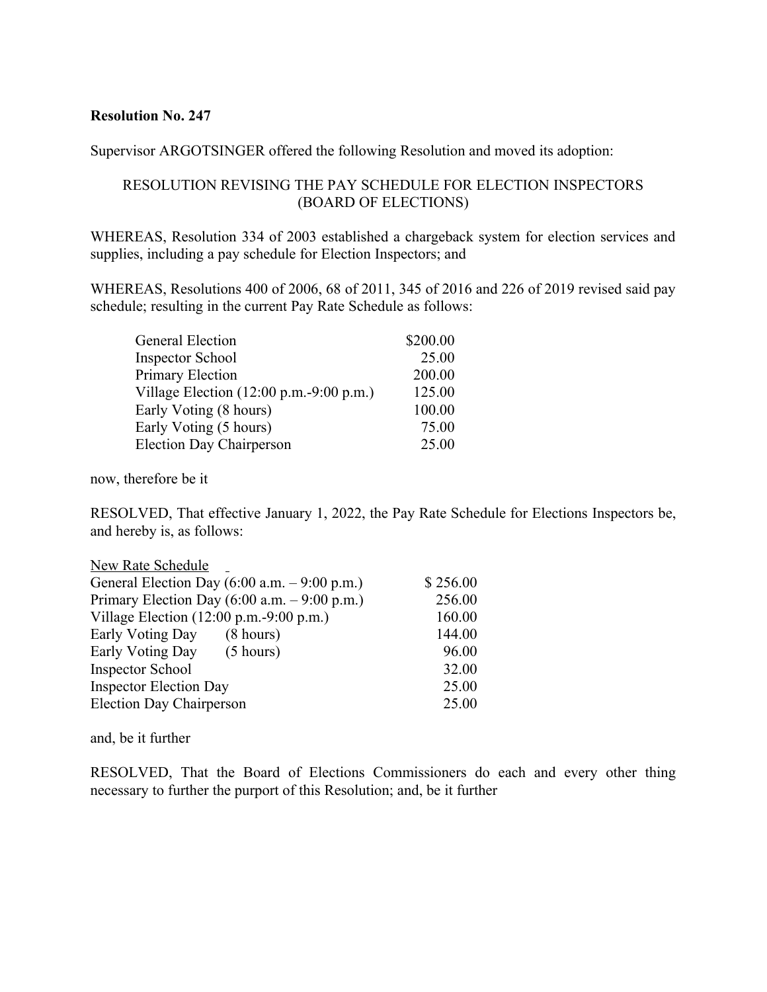Supervisor ARGOTSINGER offered the following Resolution and moved its adoption:

## RESOLUTION REVISING THE PAY SCHEDULE FOR ELECTION INSPECTORS (BOARD OF ELECTIONS)

WHEREAS, Resolution 334 of 2003 established a chargeback system for election services and supplies, including a pay schedule for Election Inspectors; and

WHEREAS, Resolutions 400 of 2006, 68 of 2011, 345 of 2016 and 226 of 2019 revised said pay schedule; resulting in the current Pay Rate Schedule as follows:

| <b>General Election</b>                                     | \$200.00 |
|-------------------------------------------------------------|----------|
| <b>Inspector School</b>                                     | 25.00    |
| <b>Primary Election</b>                                     | 200.00   |
| Village Election $(12:00 \text{ p.m.} - 9:00 \text{ p.m.})$ | 125.00   |
| Early Voting (8 hours)                                      | 100.00   |
| Early Voting (5 hours)                                      | 75.00    |
| <b>Election Day Chairperson</b>                             | 25.00    |

now, therefore be it

RESOLVED, That effective January 1, 2022, the Pay Rate Schedule for Elections Inspectors be, and hereby is, as follows:

| New Rate Schedule                                           |          |  |
|-------------------------------------------------------------|----------|--|
| General Election Day $(6:00 a.m. - 9:00 p.m.)$              | \$256.00 |  |
| Primary Election Day $(6:00 a.m. - 9:00 p.m.)$              | 256.00   |  |
| Village Election $(12:00 \text{ p.m.} - 9:00 \text{ p.m.})$ | 160.00   |  |
| Early Voting Day<br>$(8 \text{ hours})$                     | 144.00   |  |
| Early Voting Day (5 hours)                                  | 96.00    |  |
| <b>Inspector School</b>                                     | 32.00    |  |
| <b>Inspector Election Day</b>                               | 25.00    |  |
| <b>Election Day Chairperson</b>                             | 25.00    |  |

and, be it further

RESOLVED, That the Board of Elections Commissioners do each and every other thing necessary to further the purport of this Resolution; and, be it further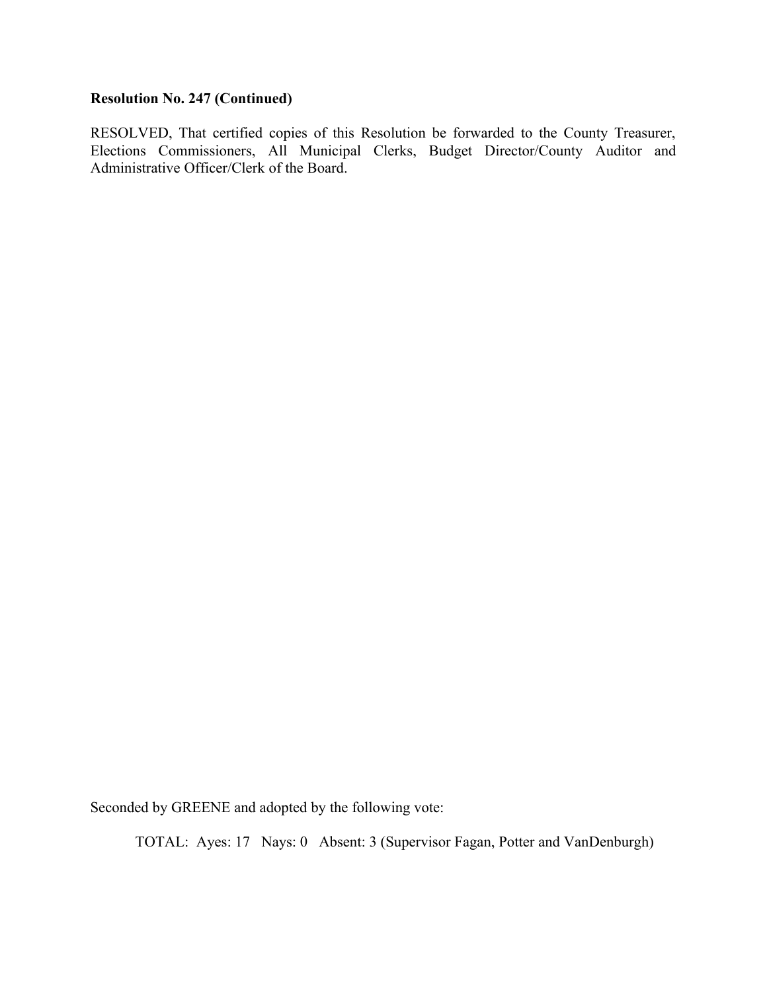## **Resolution No. 247 (Continued)**

RESOLVED, That certified copies of this Resolution be forwarded to the County Treasurer, Elections Commissioners, All Municipal Clerks, Budget Director/County Auditor and Administrative Officer/Clerk of the Board.

Seconded by GREENE and adopted by the following vote: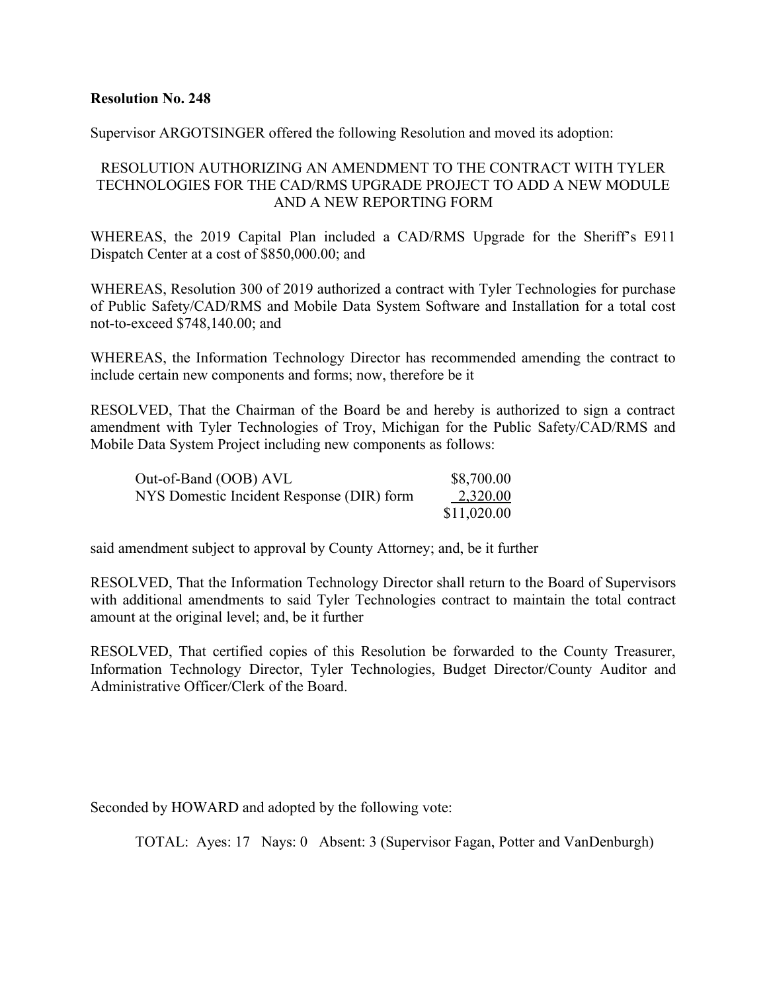Supervisor ARGOTSINGER offered the following Resolution and moved its adoption:

## RESOLUTION AUTHORIZING AN AMENDMENT TO THE CONTRACT WITH TYLER TECHNOLOGIES FOR THE CAD/RMS UPGRADE PROJECT TO ADD A NEW MODULE AND A NEW REPORTING FORM

WHEREAS, the 2019 Capital Plan included a CAD/RMS Upgrade for the Sheriff's E911 Dispatch Center at a cost of \$850,000.00; and

WHEREAS, Resolution 300 of 2019 authorized a contract with Tyler Technologies for purchase of Public Safety/CAD/RMS and Mobile Data System Software and Installation for a total cost not-to-exceed \$748,140.00; and

WHEREAS, the Information Technology Director has recommended amending the contract to include certain new components and forms; now, therefore be it

RESOLVED, That the Chairman of the Board be and hereby is authorized to sign a contract amendment with Tyler Technologies of Troy, Michigan for the Public Safety/CAD/RMS and Mobile Data System Project including new components as follows:

| Out-of-Band (OOB) AVL                     | \$8,700.00  |
|-------------------------------------------|-------------|
| NYS Domestic Incident Response (DIR) form | 2,320.00    |
|                                           | \$11,020.00 |

said amendment subject to approval by County Attorney; and, be it further

RESOLVED, That the Information Technology Director shall return to the Board of Supervisors with additional amendments to said Tyler Technologies contract to maintain the total contract amount at the original level; and, be it further

RESOLVED, That certified copies of this Resolution be forwarded to the County Treasurer, Information Technology Director, Tyler Technologies, Budget Director/County Auditor and Administrative Officer/Clerk of the Board.

Seconded by HOWARD and adopted by the following vote: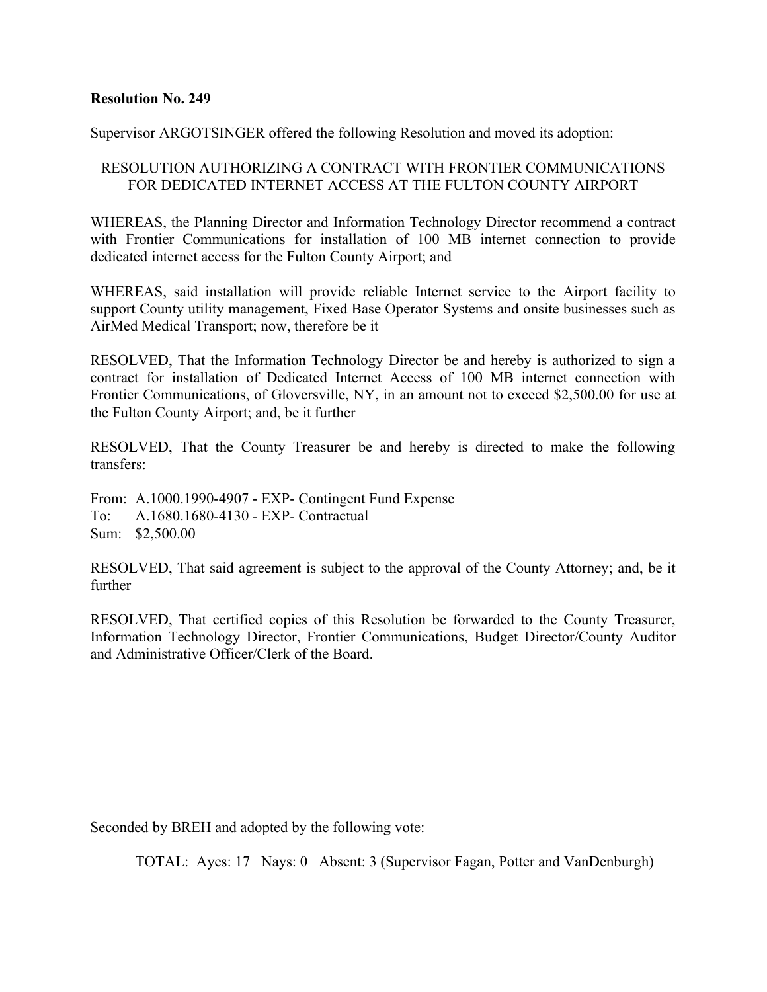Supervisor ARGOTSINGER offered the following Resolution and moved its adoption:

## RESOLUTION AUTHORIZING A CONTRACT WITH FRONTIER COMMUNICATIONS FOR DEDICATED INTERNET ACCESS AT THE FULTON COUNTY AIRPORT

WHEREAS, the Planning Director and Information Technology Director recommend a contract with Frontier Communications for installation of 100 MB internet connection to provide dedicated internet access for the Fulton County Airport; and

WHEREAS, said installation will provide reliable Internet service to the Airport facility to support County utility management, Fixed Base Operator Systems and onsite businesses such as AirMed Medical Transport; now, therefore be it

RESOLVED, That the Information Technology Director be and hereby is authorized to sign a contract for installation of Dedicated Internet Access of 100 MB internet connection with Frontier Communications, of Gloversville, NY, in an amount not to exceed \$2,500.00 for use at the Fulton County Airport; and, be it further

RESOLVED, That the County Treasurer be and hereby is directed to make the following transfers:

From: A.1000.1990-4907 - EXP- Contingent Fund Expense To: A.1680.1680-4130 - EXP- Contractual Sum: \$2,500.00

RESOLVED, That said agreement is subject to the approval of the County Attorney; and, be it further

RESOLVED, That certified copies of this Resolution be forwarded to the County Treasurer, Information Technology Director, Frontier Communications, Budget Director/County Auditor and Administrative Officer/Clerk of the Board.

Seconded by BREH and adopted by the following vote: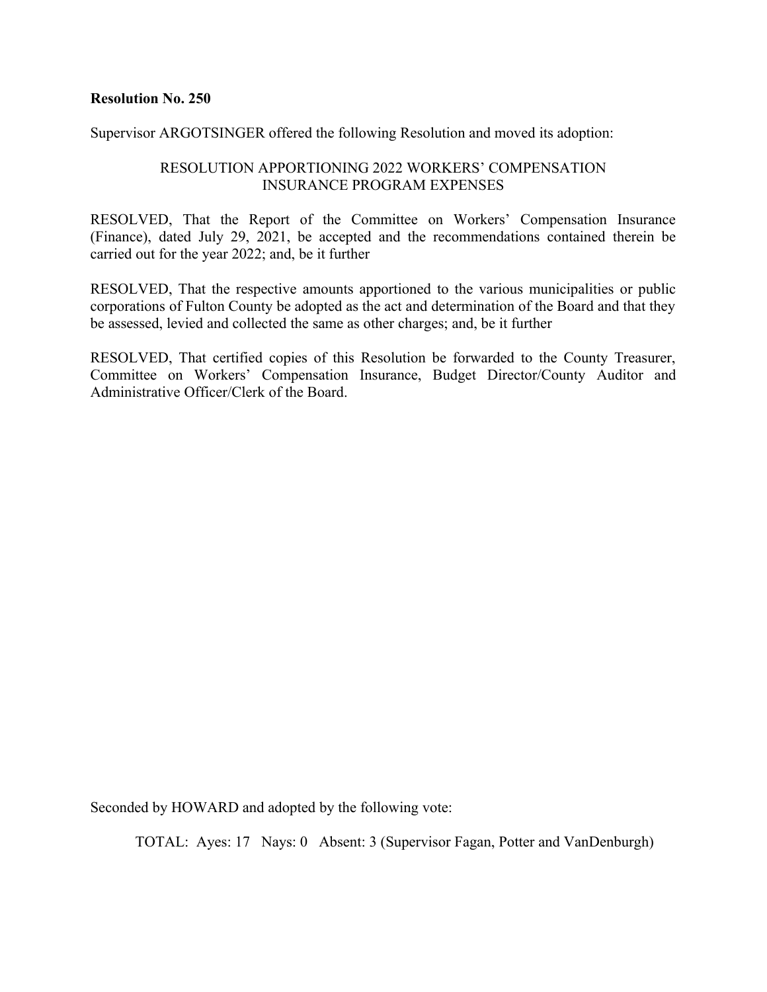Supervisor ARGOTSINGER offered the following Resolution and moved its adoption:

## RESOLUTION APPORTIONING 2022 WORKERS' COMPENSATION INSURANCE PROGRAM EXPENSES

RESOLVED, That the Report of the Committee on Workers' Compensation Insurance (Finance), dated July 29, 2021, be accepted and the recommendations contained therein be carried out for the year 2022; and, be it further

RESOLVED, That the respective amounts apportioned to the various municipalities or public corporations of Fulton County be adopted as the act and determination of the Board and that they be assessed, levied and collected the same as other charges; and, be it further

RESOLVED, That certified copies of this Resolution be forwarded to the County Treasurer, Committee on Workers' Compensation Insurance, Budget Director/County Auditor and Administrative Officer/Clerk of the Board.

Seconded by HOWARD and adopted by the following vote: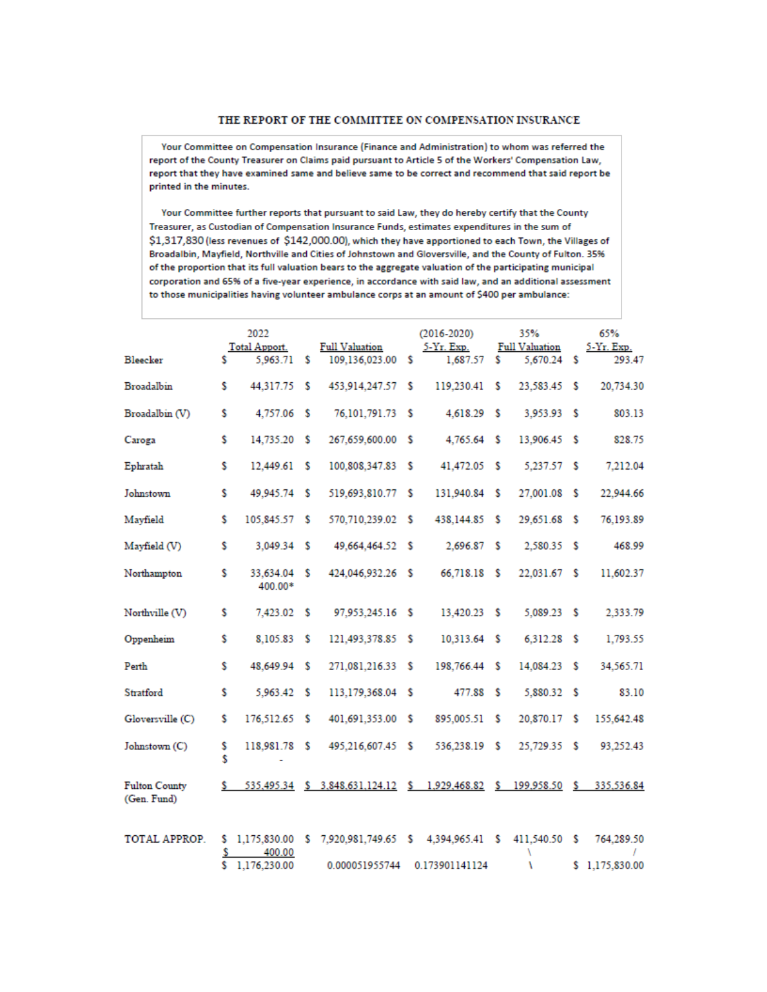#### THE REPORT OF THE COMMITTEE ON COMPENSATION INSURANCE

Your Committee on Compensation Insurance (Finance and Administration) to whom was referred the report of the County Treasurer on Claims paid pursuant to Article 5 of the Workers' Compensation Law, report that they have examined same and believe same to be correct and recommend that said report be printed in the minutes.

Your Committee further reports that pursuant to said Law, they do hereby certify that the County Treasurer, as Custodian of Compensation Insurance Funds, estimates expenditures in the sum of \$1,317,830 (less revenues of \$142,000.00), which they have apportioned to each Town, the Villages of Broadalbin, Mayfield, Northville and Cities of Johnstown and Gloversville, and the County of Fulton. 35% of the proportion that its full valuation bears to the aggregate valuation of the participating municipal corporation and 65% of a five-year experience, in accordance with said law, and an additional assessment to those municipalities having volunteer ambulance corps at an amount of \$400 per ambulance:

|                                     |         | 2022                                     |    |                                                                            |    | $(2016 - 2020)$        |    | 35%                                  | 65%                          |
|-------------------------------------|---------|------------------------------------------|----|----------------------------------------------------------------------------|----|------------------------|----|--------------------------------------|------------------------------|
| Bleecker                            | s.      | Total Apport.<br>5.963.71                | s. | <b>Full Valuation</b><br>109.136.023.00 \$                                 |    | 5-Yr. Exp.<br>1,687.57 | s  | <b>Full Valuation</b><br>5,670.24 \$ | 5-Yr. Exp.<br>293.47         |
| Broadalbin                          | s       | 44.317.75 \$                             |    | 453,914,247.57 \$                                                          |    | 119,230.41             | s  | 23.583.45 \$                         | 20,734.30                    |
| Broadalbin (V)                      | s       | 4,757.06 \$                              |    | 76,101,791.73 \$                                                           |    | 4,618.29 \$            |    | 3,953.93 \$                          | 803.13                       |
| Caroga                              | Ŝ       | 14.735.20 \$                             |    | 267,659,600.00 \$                                                          |    | $4,765.64$ \$          |    | 13.906.45 \$                         | 828.75                       |
| Ephratah                            | \$      | 12,449.61 \$                             |    | 100,808,347.83 \$                                                          |    | 41,472.05 \$           |    | 5.237.57 \$                          | 7,212.04                     |
| Johnstown                           | s       | 49.945.74 \$                             |    | 519.693.810.77 \$                                                          |    | 131.940.84 \$          |    | 27.001.08 \$                         | 22.944.66                    |
| Mayfield                            | \$      | 105,845.57 \$                            |    | 570,710,239.02 \$                                                          |    | 438.144.85             | -S | 29,651.68 \$                         | 76,193.89                    |
| Mayfield (V)                        | S       | 3.049.34 \$                              |    | 49.664.464.52 \$                                                           |    | 2.696.87 S             |    | 2.580.35 \$                          | 468.99                       |
| Northampton                         | S       | 33,634.04 \$<br>400.00*                  |    | 424.046.932.26 \$                                                          |    | 66,718.18 \$           |    | 22,031.67 \$                         | 11,602.37                    |
| Northville (V)                      | s       | 7.423.02 S                               |    | 97,953,245.16 \$                                                           |    | 13,420.23 \$           |    | $5.089.23$ \$                        | 2.333.79                     |
| Oppenheim                           | s       | 8.105.83 \$                              |    | 121,493,378.85 \$                                                          |    | 10,313.64 \$           |    | 6,312.28 \$                          | 1,793.55                     |
| Perth                               | s       | 48,649.94 \$                             |    | 271.081.216.33                                                             | -S | 198,766.44 \$          |    | 14.084.23 \$                         | 34.565.71                    |
| Stratford                           | S       | 5.963.42 \$                              |    | 113,179,368.04 \$                                                          |    | 477.88 \$              |    | 5.880.32 \$                          | 83.10                        |
| Gloversville (C)                    | s       | 176,512.65 \$                            |    | 401,691,353.00 \$                                                          |    | 895,005.51             | -S | 20,870.17 \$                         | 155,642.48                   |
| Johnstown (C)                       | \$<br>Ś | 118,981.78 \$<br>٠                       |    | 495,216,607.45 \$                                                          |    | 536,238.19 \$          |    | 25,729.35 \$                         | 93,252.43                    |
| <b>Fulton County</b><br>(Gen. Fund) | s.      |                                          |    | 535,495.34 \$ 3,848,631,124.12 \$ 1,929,468.82 \$ 199,958.50 \$ 335,536.84 |    |                        |    |                                      |                              |
| TOTAL APPROP.                       | \$<br>s | \$1,175,830.00<br>400.00<br>1,176,230.00 |    | $$7,920,981,749.65$ $$4,394,965.41$ $$$<br>0.000051955744                  |    | 0.173901141124         |    | 411,540.50 \$<br>١                   | 764,289.50<br>\$1,175,830.00 |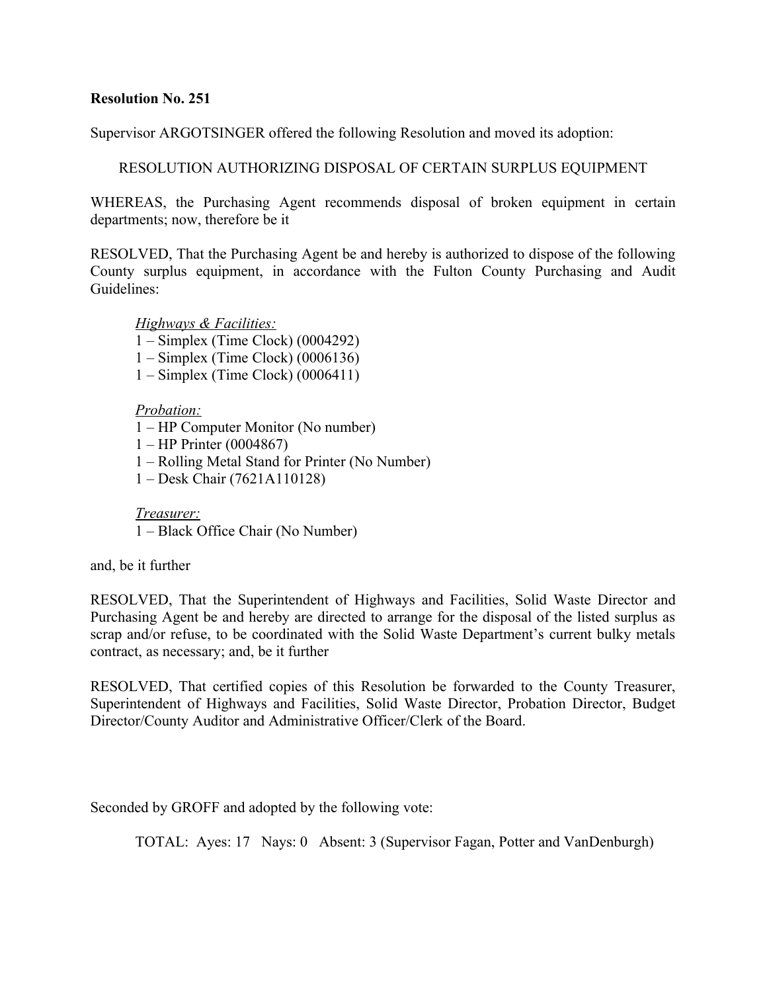Supervisor ARGOTSINGER offered the following Resolution and moved its adoption:

RESOLUTION AUTHORIZING DISPOSAL OF CERTAIN SURPLUS EQUIPMENT

WHEREAS, the Purchasing Agent recommends disposal of broken equipment in certain departments; now, therefore be it

RESOLVED, That the Purchasing Agent be and hereby is authorized to dispose of the following County surplus equipment, in accordance with the Fulton County Purchasing and Audit Guidelines:

*Highways & Facilities:*

1 – Simplex (Time Clock) (0004292)

- 1 Simplex (Time Clock) (0006136)
- 1 Simplex (Time Clock) (0006411)

## *Probation:*

- 1 HP Computer Monitor (No number)
- 1 HP Printer (0004867)
- 1 Rolling Metal Stand for Printer (No Number)
- 1 Desk Chair (7621A110128)

*Treasurer:* 1 – Black Office Chair (No Number)

and, be it further

RESOLVED, That the Superintendent of Highways and Facilities, Solid Waste Director and Purchasing Agent be and hereby are directed to arrange for the disposal of the listed surplus as scrap and/or refuse, to be coordinated with the Solid Waste Department's current bulky metals contract, as necessary; and, be it further

RESOLVED, That certified copies of this Resolution be forwarded to the County Treasurer, Superintendent of Highways and Facilities, Solid Waste Director, Probation Director, Budget Director/County Auditor and Administrative Officer/Clerk of the Board.

Seconded by GROFF and adopted by the following vote: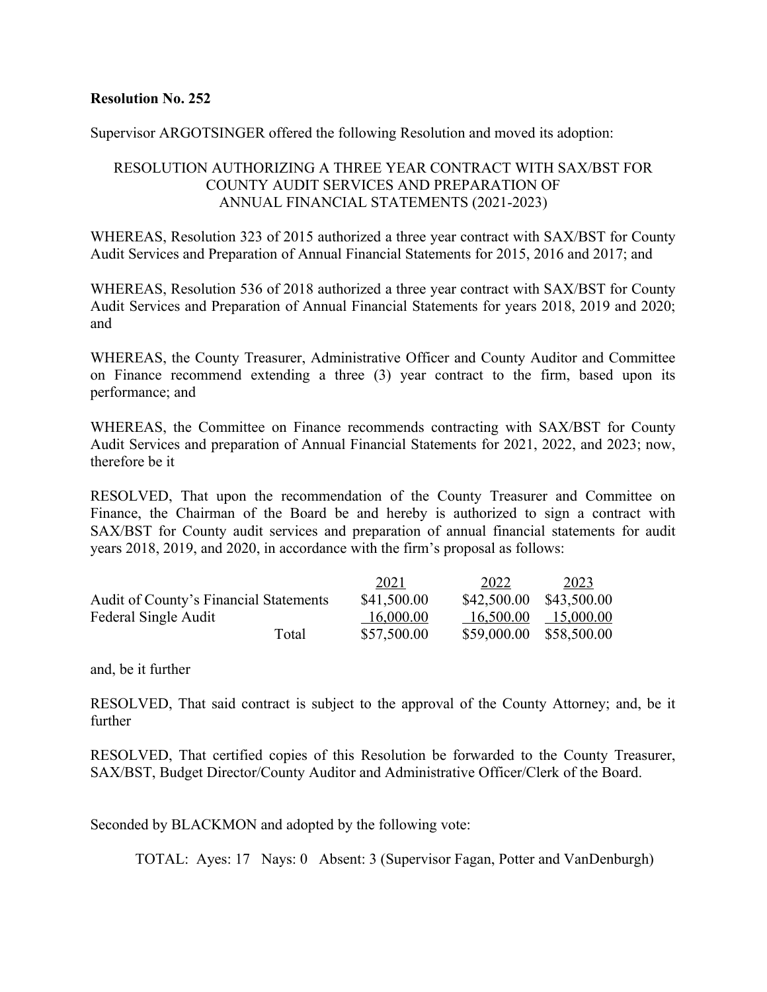Supervisor ARGOTSINGER offered the following Resolution and moved its adoption:

## RESOLUTION AUTHORIZING A THREE YEAR CONTRACT WITH SAX/BST FOR COUNTY AUDIT SERVICES AND PREPARATION OF ANNUAL FINANCIAL STATEMENTS (2021-2023)

WHEREAS, Resolution 323 of 2015 authorized a three year contract with SAX/BST for County Audit Services and Preparation of Annual Financial Statements for 2015, 2016 and 2017; and

WHEREAS, Resolution 536 of 2018 authorized a three year contract with SAX/BST for County Audit Services and Preparation of Annual Financial Statements for years 2018, 2019 and 2020; and

WHEREAS, the County Treasurer, Administrative Officer and County Auditor and Committee on Finance recommend extending a three (3) year contract to the firm, based upon its performance; and

WHEREAS, the Committee on Finance recommends contracting with SAX/BST for County Audit Services and preparation of Annual Financial Statements for 2021, 2022, and 2023; now, therefore be it

RESOLVED, That upon the recommendation of the County Treasurer and Committee on Finance, the Chairman of the Board be and hereby is authorized to sign a contract with SAX/BST for County audit services and preparation of annual financial statements for audit years 2018, 2019, and 2020, in accordance with the firm's proposal as follows:

|                                               | 2021        | 2022        | 2023        |
|-----------------------------------------------|-------------|-------------|-------------|
| <b>Audit of County's Financial Statements</b> | \$41,500.00 | \$42,500.00 | \$43,500.00 |
| Federal Single Audit                          | 16,000.00   | 16,500.00   | 15,000.00   |
| Total                                         | \$57,500.00 | \$59,000.00 | \$58,500.00 |

and, be it further

RESOLVED, That said contract is subject to the approval of the County Attorney; and, be it further

RESOLVED, That certified copies of this Resolution be forwarded to the County Treasurer, SAX/BST, Budget Director/County Auditor and Administrative Officer/Clerk of the Board.

Seconded by BLACKMON and adopted by the following vote: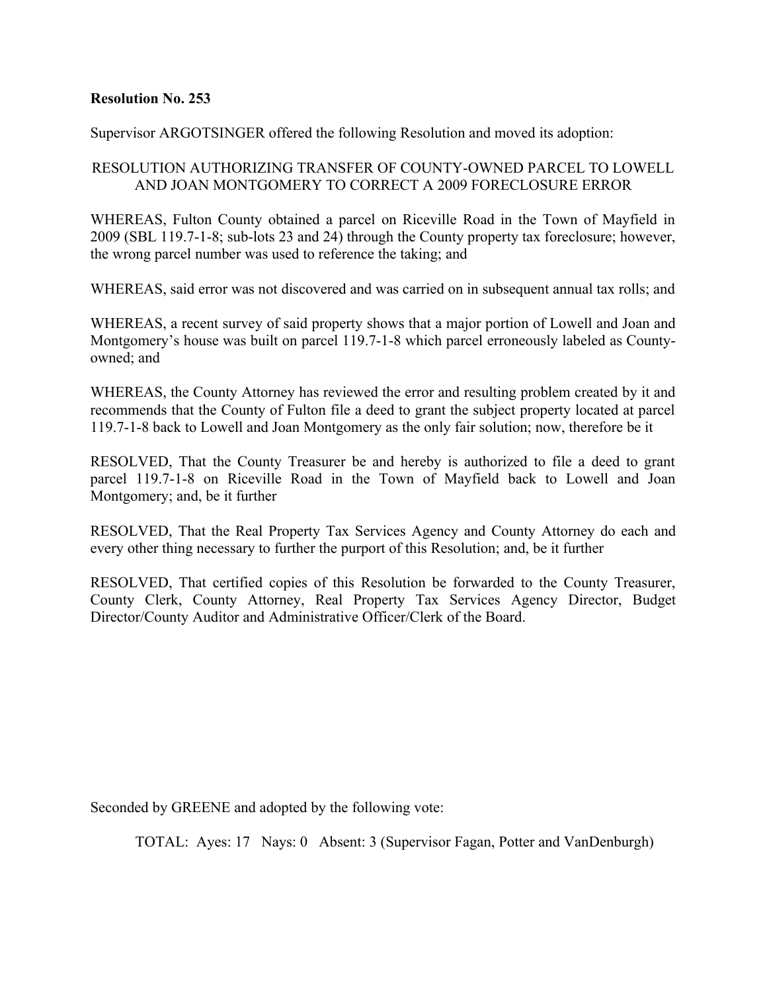Supervisor ARGOTSINGER offered the following Resolution and moved its adoption:

## RESOLUTION AUTHORIZING TRANSFER OF COUNTY-OWNED PARCEL TO LOWELL AND JOAN MONTGOMERY TO CORRECT A 2009 FORECLOSURE ERROR

WHEREAS, Fulton County obtained a parcel on Riceville Road in the Town of Mayfield in 2009 (SBL 119.7-1-8; sub-lots 23 and 24) through the County property tax foreclosure; however, the wrong parcel number was used to reference the taking; and

WHEREAS, said error was not discovered and was carried on in subsequent annual tax rolls; and

WHEREAS, a recent survey of said property shows that a major portion of Lowell and Joan and Montgomery's house was built on parcel 119.7-1-8 which parcel erroneously labeled as Countyowned; and

WHEREAS, the County Attorney has reviewed the error and resulting problem created by it and recommends that the County of Fulton file a deed to grant the subject property located at parcel 119.7-1-8 back to Lowell and Joan Montgomery as the only fair solution; now, therefore be it

RESOLVED, That the County Treasurer be and hereby is authorized to file a deed to grant parcel 119.7-1-8 on Riceville Road in the Town of Mayfield back to Lowell and Joan Montgomery; and, be it further

RESOLVED, That the Real Property Tax Services Agency and County Attorney do each and every other thing necessary to further the purport of this Resolution; and, be it further

RESOLVED, That certified copies of this Resolution be forwarded to the County Treasurer, County Clerk, County Attorney, Real Property Tax Services Agency Director, Budget Director/County Auditor and Administrative Officer/Clerk of the Board.

Seconded by GREENE and adopted by the following vote: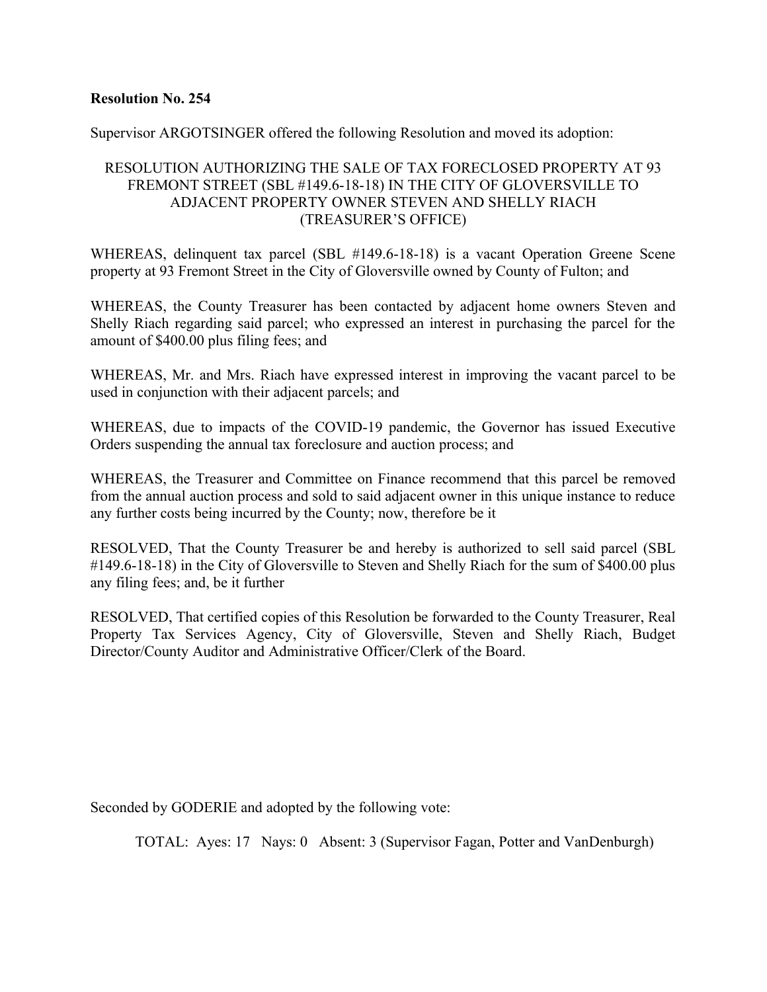Supervisor ARGOTSINGER offered the following Resolution and moved its adoption:

## RESOLUTION AUTHORIZING THE SALE OF TAX FORECLOSED PROPERTY AT 93 FREMONT STREET (SBL #149.6-18-18) IN THE CITY OF GLOVERSVILLE TO ADJACENT PROPERTY OWNER STEVEN AND SHELLY RIACH (TREASURER'S OFFICE)

WHEREAS, delinquent tax parcel (SBL #149.6-18-18) is a vacant Operation Greene Scene property at 93 Fremont Street in the City of Gloversville owned by County of Fulton; and

WHEREAS, the County Treasurer has been contacted by adjacent home owners Steven and Shelly Riach regarding said parcel; who expressed an interest in purchasing the parcel for the amount of \$400.00 plus filing fees; and

WHEREAS, Mr. and Mrs. Riach have expressed interest in improving the vacant parcel to be used in conjunction with their adjacent parcels; and

WHEREAS, due to impacts of the COVID-19 pandemic, the Governor has issued Executive Orders suspending the annual tax foreclosure and auction process; and

WHEREAS, the Treasurer and Committee on Finance recommend that this parcel be removed from the annual auction process and sold to said adjacent owner in this unique instance to reduce any further costs being incurred by the County; now, therefore be it

RESOLVED, That the County Treasurer be and hereby is authorized to sell said parcel (SBL #149.6-18-18) in the City of Gloversville to Steven and Shelly Riach for the sum of \$400.00 plus any filing fees; and, be it further

RESOLVED, That certified copies of this Resolution be forwarded to the County Treasurer, Real Property Tax Services Agency, City of Gloversville, Steven and Shelly Riach, Budget Director/County Auditor and Administrative Officer/Clerk of the Board.

Seconded by GODERIE and adopted by the following vote: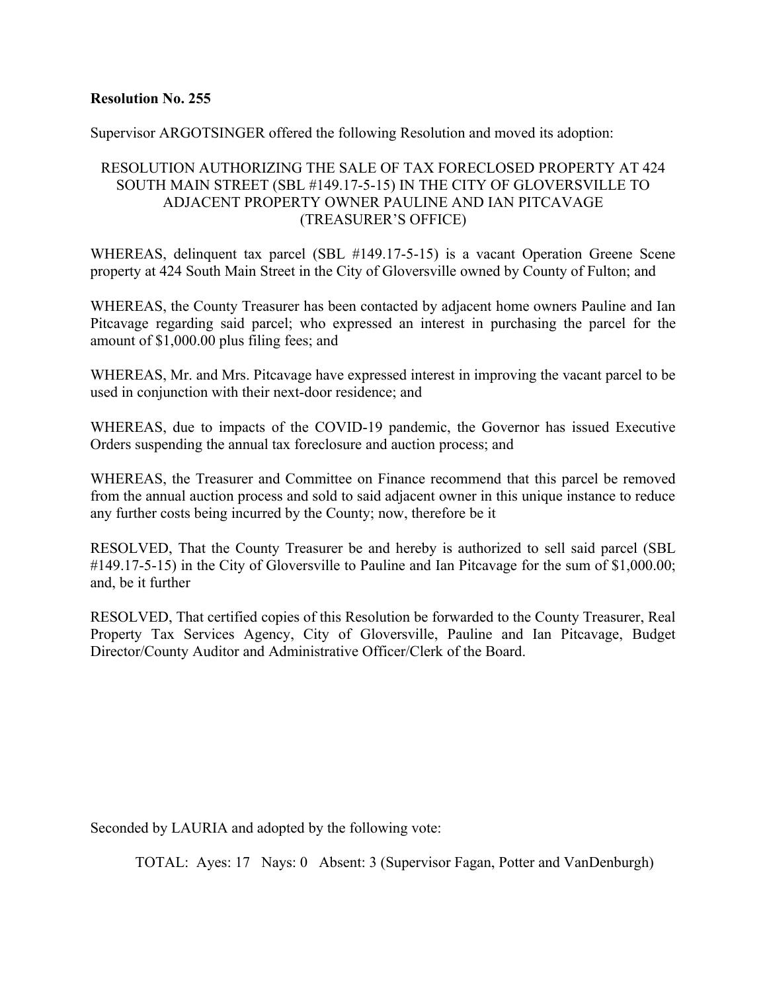Supervisor ARGOTSINGER offered the following Resolution and moved its adoption:

## RESOLUTION AUTHORIZING THE SALE OF TAX FORECLOSED PROPERTY AT 424 SOUTH MAIN STREET (SBL #149.17-5-15) IN THE CITY OF GLOVERSVILLE TO ADJACENT PROPERTY OWNER PAULINE AND IAN PITCAVAGE (TREASURER'S OFFICE)

WHEREAS, delinquent tax parcel (SBL #149.17-5-15) is a vacant Operation Greene Scene property at 424 South Main Street in the City of Gloversville owned by County of Fulton; and

WHEREAS, the County Treasurer has been contacted by adjacent home owners Pauline and Ian Pitcavage regarding said parcel; who expressed an interest in purchasing the parcel for the amount of \$1,000.00 plus filing fees; and

WHEREAS, Mr. and Mrs. Pitcavage have expressed interest in improving the vacant parcel to be used in conjunction with their next-door residence; and

WHEREAS, due to impacts of the COVID-19 pandemic, the Governor has issued Executive Orders suspending the annual tax foreclosure and auction process; and

WHEREAS, the Treasurer and Committee on Finance recommend that this parcel be removed from the annual auction process and sold to said adjacent owner in this unique instance to reduce any further costs being incurred by the County; now, therefore be it

RESOLVED, That the County Treasurer be and hereby is authorized to sell said parcel (SBL #149.17-5-15) in the City of Gloversville to Pauline and Ian Pitcavage for the sum of \$1,000.00; and, be it further

RESOLVED, That certified copies of this Resolution be forwarded to the County Treasurer, Real Property Tax Services Agency, City of Gloversville, Pauline and Ian Pitcavage, Budget Director/County Auditor and Administrative Officer/Clerk of the Board.

Seconded by LAURIA and adopted by the following vote: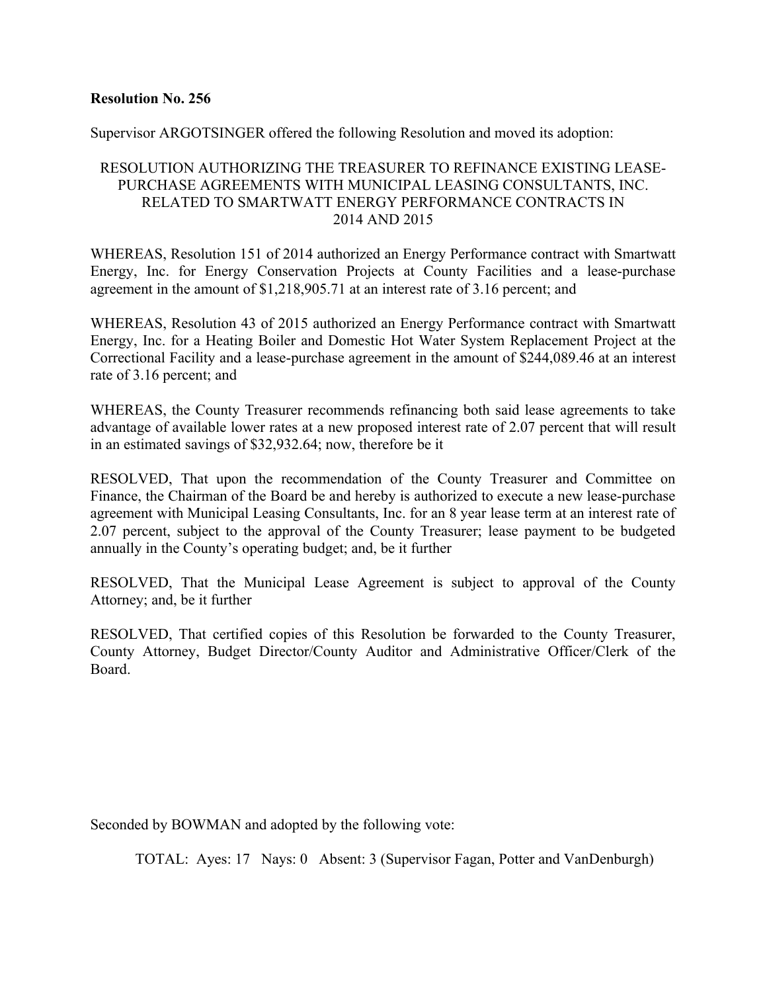Supervisor ARGOTSINGER offered the following Resolution and moved its adoption:

## RESOLUTION AUTHORIZING THE TREASURER TO REFINANCE EXISTING LEASE-PURCHASE AGREEMENTS WITH MUNICIPAL LEASING CONSULTANTS, INC. RELATED TO SMARTWATT ENERGY PERFORMANCE CONTRACTS IN 2014 AND 2015

WHEREAS, Resolution 151 of 2014 authorized an Energy Performance contract with Smartwatt Energy, Inc. for Energy Conservation Projects at County Facilities and a lease-purchase agreement in the amount of \$1,218,905.71 at an interest rate of 3.16 percent; and

WHEREAS, Resolution 43 of 2015 authorized an Energy Performance contract with Smartwatt Energy, Inc. for a Heating Boiler and Domestic Hot Water System Replacement Project at the Correctional Facility and a lease-purchase agreement in the amount of \$244,089.46 at an interest rate of 3.16 percent; and

WHEREAS, the County Treasurer recommends refinancing both said lease agreements to take advantage of available lower rates at a new proposed interest rate of 2.07 percent that will result in an estimated savings of \$32,932.64; now, therefore be it

RESOLVED, That upon the recommendation of the County Treasurer and Committee on Finance, the Chairman of the Board be and hereby is authorized to execute a new lease-purchase agreement with Municipal Leasing Consultants, Inc. for an 8 year lease term at an interest rate of 2.07 percent, subject to the approval of the County Treasurer; lease payment to be budgeted annually in the County's operating budget; and, be it further

RESOLVED, That the Municipal Lease Agreement is subject to approval of the County Attorney; and, be it further

RESOLVED, That certified copies of this Resolution be forwarded to the County Treasurer, County Attorney, Budget Director/County Auditor and Administrative Officer/Clerk of the Board.

Seconded by BOWMAN and adopted by the following vote: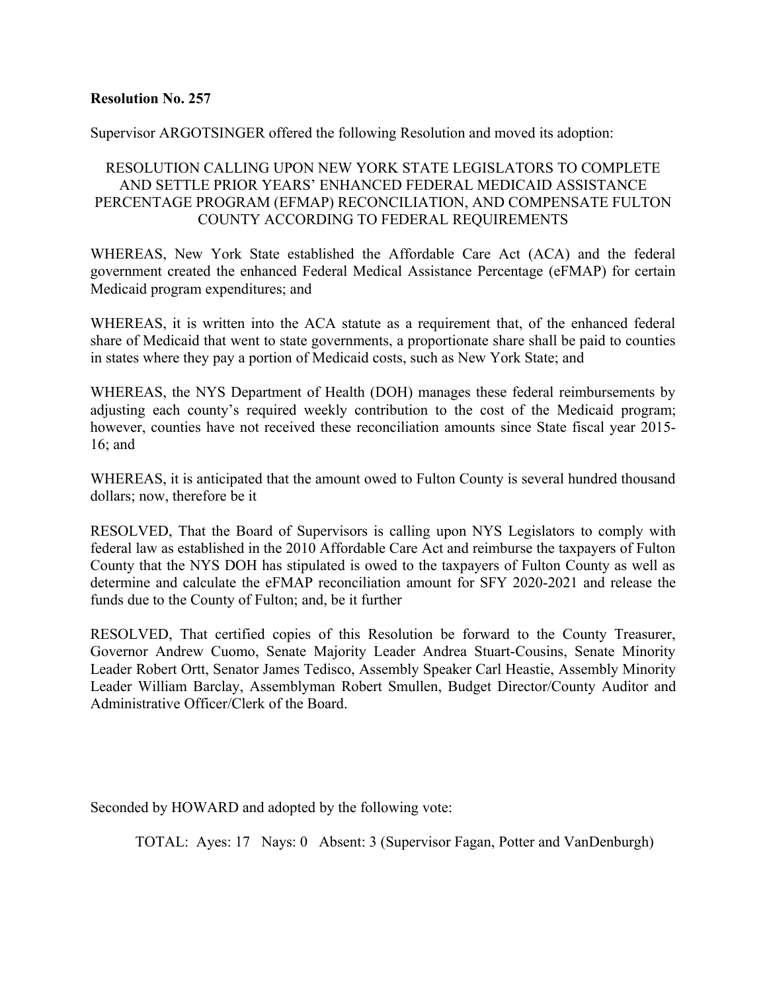#### Supervisor ARGOTSINGER offered the following Resolution and moved its adoption:

## RESOLUTION CALLING UPON NEW YORK STATE LEGISLATORS TO COMPLETE AND SETTLE PRIOR YEARS' ENHANCED FEDERAL MEDICAID ASSISTANCE PERCENTAGE PROGRAM (EFMAP) RECONCILIATION, AND COMPENSATE FULTON COUNTY ACCORDING TO FEDERAL REQUIREMENTS

WHEREAS, New York State established the Affordable Care Act (ACA) and the federal government created the enhanced Federal Medical Assistance Percentage (eFMAP) for certain Medicaid program expenditures; and

WHEREAS, it is written into the ACA statute as a requirement that, of the enhanced federal share of Medicaid that went to state governments, a proportionate share shall be paid to counties in states where they pay a portion of Medicaid costs, such as New York State; and

WHEREAS, the NYS Department of Health (DOH) manages these federal reimbursements by adjusting each county's required weekly contribution to the cost of the Medicaid program; however, counties have not received these reconciliation amounts since State fiscal year 2015- 16; and

WHEREAS, it is anticipated that the amount owed to Fulton County is several hundred thousand dollars; now, therefore be it

RESOLVED, That the Board of Supervisors is calling upon NYS Legislators to comply with federal law as established in the 2010 Affordable Care Act and reimburse the taxpayers of Fulton County that the NYS DOH has stipulated is owed to the taxpayers of Fulton County as well as determine and calculate the eFMAP reconciliation amount for SFY 2020-2021 and release the funds due to the County of Fulton; and, be it further

RESOLVED, That certified copies of this Resolution be forward to the County Treasurer, Governor Andrew Cuomo, Senate Majority Leader Andrea Stuart-Cousins, Senate Minority Leader Robert Ortt, Senator James Tedisco, Assembly Speaker Carl Heastie, Assembly Minority Leader William Barclay, Assemblyman Robert Smullen, Budget Director/County Auditor and Administrative Officer/Clerk of the Board.

Seconded by HOWARD and adopted by the following vote: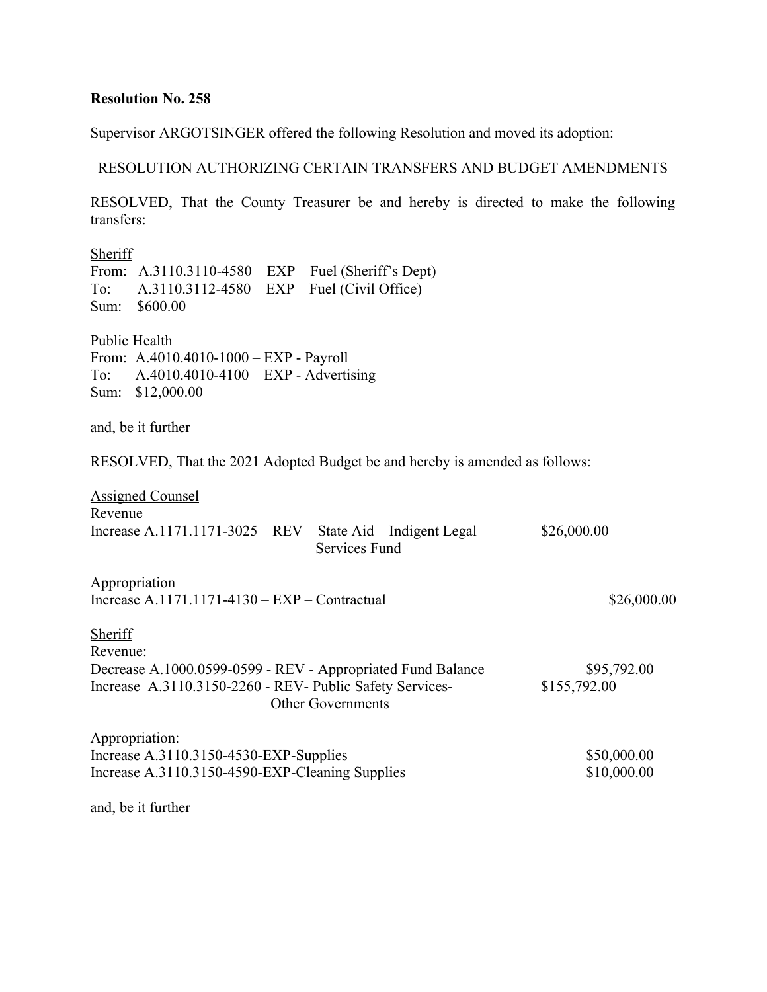Supervisor ARGOTSINGER offered the following Resolution and moved its adoption:

## RESOLUTION AUTHORIZING CERTAIN TRANSFERS AND BUDGET AMENDMENTS

RESOLVED, That the County Treasurer be and hereby is directed to make the following transfers:

| Sheriff<br>To:<br>Sum:      | From: $A.3110.3110-4580 - EXP - Fuel (Sheriff's Dept)$<br>A.3110.3112-4580 – EXP – Fuel (Civil Office)<br>\$600.00                                  |                             |
|-----------------------------|-----------------------------------------------------------------------------------------------------------------------------------------------------|-----------------------------|
| <b>Public Health</b><br>To: | From: A.4010.4010-1000 - EXP - Payroll<br>$A.4010.4010-4100 - EXP - Adverting$<br>Sum: \$12,000.00                                                  |                             |
|                             | and, be it further                                                                                                                                  |                             |
|                             | RESOLVED, That the 2021 Adopted Budget be and hereby is amended as follows:                                                                         |                             |
| Revenue                     | <b>Assigned Counsel</b><br>Increase A.1171.1171-3025 – REV – State Aid – Indigent Legal<br>Services Fund                                            | \$26,000.00                 |
| Appropriation               | Increase A.1171.1171-4130 – $EXP$ – Contractual                                                                                                     | \$26,000.00                 |
| <b>Sheriff</b><br>Revenue:  | Decrease A.1000.0599-0599 - REV - Appropriated Fund Balance<br>Increase A.3110.3150-2260 - REV- Public Safety Services-<br><b>Other Governments</b> | \$95,792.00<br>\$155,792.00 |
| Appropriation:              | Increase A.3110.3150-4530-EXP-Supplies<br>Increase A.3110.3150-4590-EXP-Cleaning Supplies                                                           | \$50,000.00<br>\$10,000.00  |
|                             | and, be it further                                                                                                                                  |                             |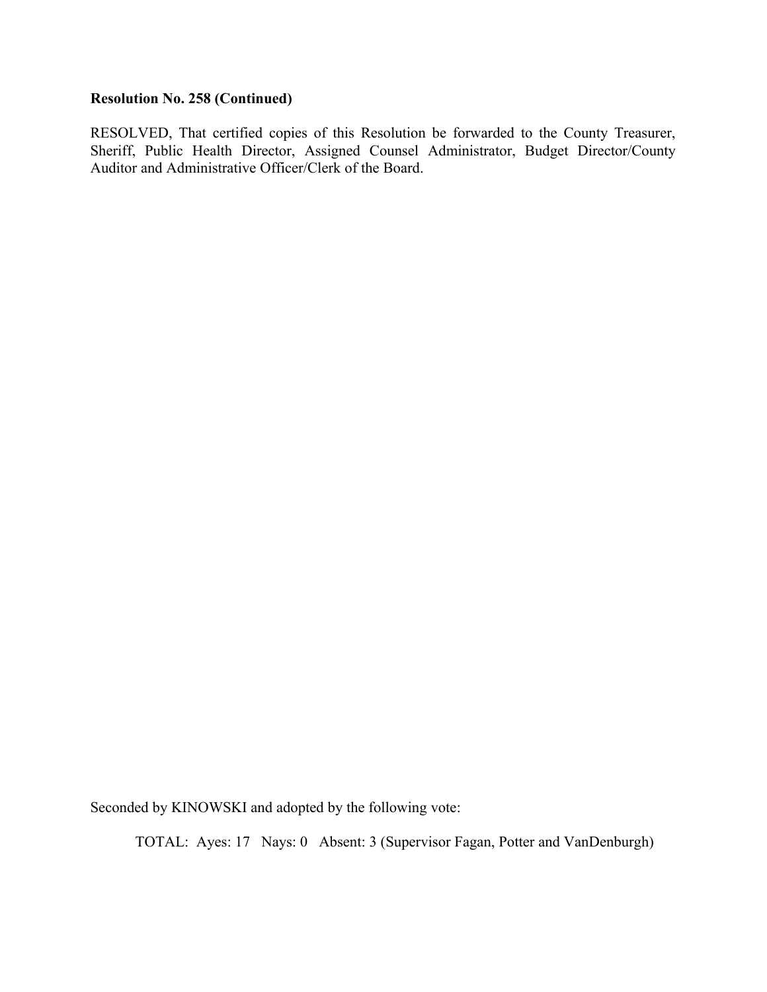## **Resolution No. 258 (Continued)**

RESOLVED, That certified copies of this Resolution be forwarded to the County Treasurer, Sheriff, Public Health Director, Assigned Counsel Administrator, Budget Director/County Auditor and Administrative Officer/Clerk of the Board.

Seconded by KINOWSKI and adopted by the following vote: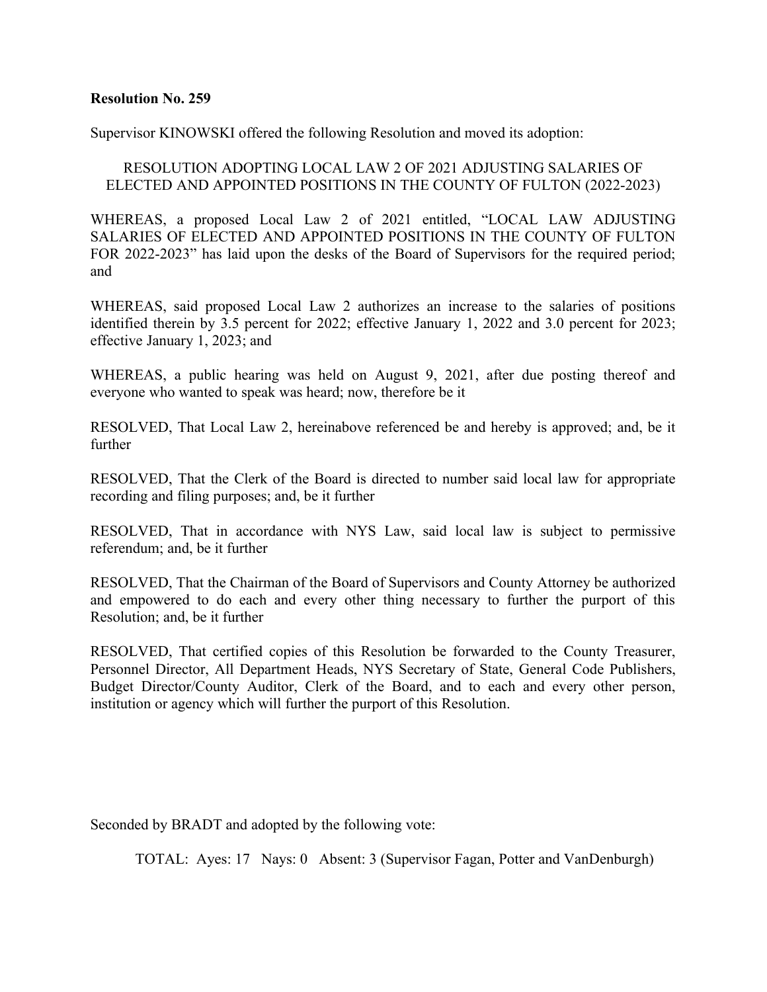Supervisor KINOWSKI offered the following Resolution and moved its adoption:

## RESOLUTION ADOPTING LOCAL LAW 2 OF 2021 ADJUSTING SALARIES OF ELECTED AND APPOINTED POSITIONS IN THE COUNTY OF FULTON (2022-2023)

WHEREAS, a proposed Local Law 2 of 2021 entitled, "LOCAL LAW ADJUSTING SALARIES OF ELECTED AND APPOINTED POSITIONS IN THE COUNTY OF FULTON FOR 2022-2023" has laid upon the desks of the Board of Supervisors for the required period; and

WHEREAS, said proposed Local Law 2 authorizes an increase to the salaries of positions identified therein by 3.5 percent for 2022; effective January 1, 2022 and 3.0 percent for 2023; effective January 1, 2023; and

WHEREAS, a public hearing was held on August 9, 2021, after due posting thereof and everyone who wanted to speak was heard; now, therefore be it

RESOLVED, That Local Law 2, hereinabove referenced be and hereby is approved; and, be it further

RESOLVED, That the Clerk of the Board is directed to number said local law for appropriate recording and filing purposes; and, be it further

RESOLVED, That in accordance with NYS Law, said local law is subject to permissive referendum; and, be it further

RESOLVED, That the Chairman of the Board of Supervisors and County Attorney be authorized and empowered to do each and every other thing necessary to further the purport of this Resolution; and, be it further

RESOLVED, That certified copies of this Resolution be forwarded to the County Treasurer, Personnel Director, All Department Heads, NYS Secretary of State, General Code Publishers, Budget Director/County Auditor, Clerk of the Board, and to each and every other person, institution or agency which will further the purport of this Resolution.

Seconded by BRADT and adopted by the following vote: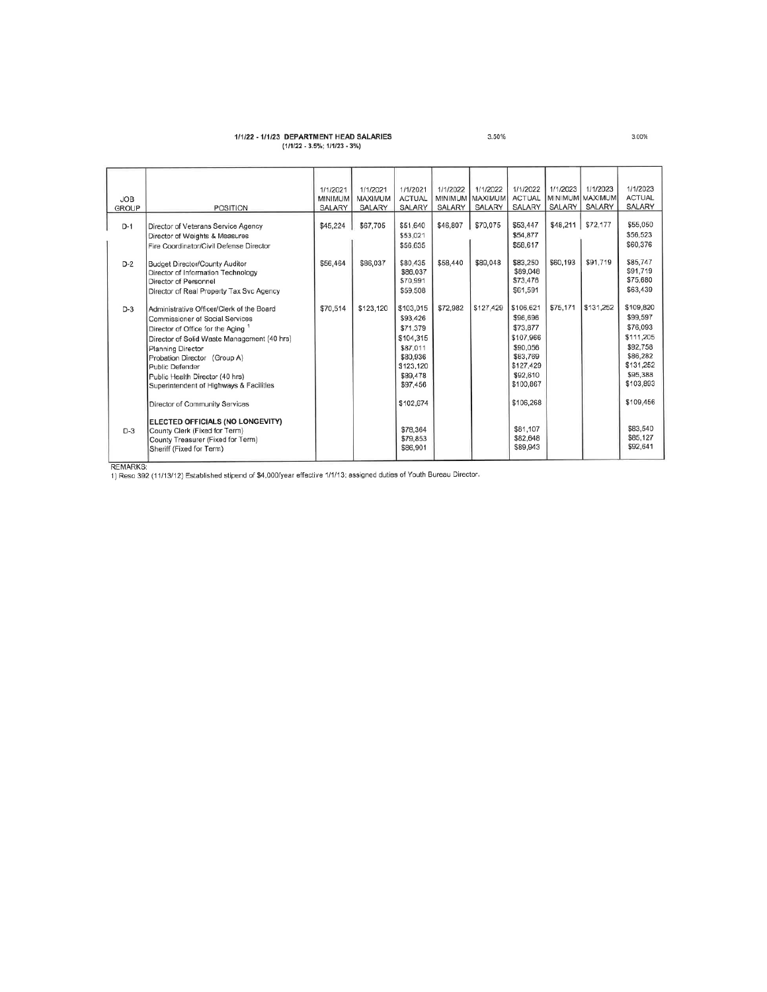# 1/1/22 - 1/1/23 DEPARTMENT HEAD SALARIES<br>(1/1/22 - 3.5%; 1/1/23 - 3%)

| <b>JOB</b><br><b>GROUP</b> | <b>POSITION</b>                                                                                                                                                                                                                                                                                                       | 1/1/2021<br>MINIMUM<br>SALARY | 1/1/2021<br>MAXIMUM<br>SALARY | 1/1/2021<br><b>ACTUAL</b><br>SALARY                                                                         | 1/1/2022<br>MINIMUM<br>SALARY | 1/1/2022<br>MAXIMUM<br>SALARY | 1/1/2022<br><b>ACTUAL</b><br>SALARY                                                                          | 1/1/2023<br><b>SALARY</b> | 1/1/2023<br>MINIMUM MAXIMUM<br>SALARY | 1/1/2023<br><b>ACTUAL</b><br>SALARY                                                                          |
|----------------------------|-----------------------------------------------------------------------------------------------------------------------------------------------------------------------------------------------------------------------------------------------------------------------------------------------------------------------|-------------------------------|-------------------------------|-------------------------------------------------------------------------------------------------------------|-------------------------------|-------------------------------|--------------------------------------------------------------------------------------------------------------|---------------------------|---------------------------------------|--------------------------------------------------------------------------------------------------------------|
| $D-1$                      | Director of Veterans Service Agency<br>Director of Weights & Measures<br>Fire Coordinator/Civil Defense Director                                                                                                                                                                                                      | \$45,224                      | \$67,705                      | \$51,640<br>\$53,021<br>\$56,635                                                                            | \$46,807                      | \$70,075                      | \$53,447<br>\$54,877<br>\$58,617                                                                             |                           | \$48,211   \$72,177                   | \$55,050<br>\$56,523<br>\$60,376                                                                             |
| $D-2$                      | <b>Budget Director/County Auditor</b><br>Director of Information Technology<br>Director of Personnel<br>Director of Real Property Tax Svc Agency                                                                                                                                                                      | \$56,464                      | \$86,037                      | \$80,435<br>\$86,037<br>\$70,991<br>\$59,508                                                                | \$58,440                      | \$89,048                      | \$83,250<br>\$89,048<br>\$73,476<br>\$61,591                                                                 | \$60,193                  | \$91,719                              | \$85,747<br>\$91,719<br>\$75,680<br>\$63,439                                                                 |
| $D-3$                      | Administrative Officer/Clerk of the Board<br>Commissioner of Social Services<br>Director of Office for the Aging<br>Director of Solid Waste Management (40 hrs)<br>Planning Director<br>Probation Director (Group A)<br>Public Defender<br>Public Health Director (40 hrs)<br>Superintendent of Highways & Facilities | \$70,514                      | \$123,120                     | \$103,015<br>\$93,426<br>\$71,379<br>\$104.315<br>\$87.011<br>\$80,936<br>\$123,120<br>\$89,478<br>\$97,456 | \$72,982                      | \$127,429                     | \$106,621<br>\$96,696<br>\$73,877<br>\$107.966<br>\$90,056<br>\$83,769<br>\$127,429<br>\$92,610<br>\$100,867 | \$75,171                  | \$131,252                             | \$109,820<br>\$99,597<br>\$76.093<br>\$111,205<br>\$92,758<br>\$86,282<br>\$131,252<br>\$95,388<br>\$103.893 |
| $D-3$                      | Director of Community Services<br>ELECTED OFFICIALS (NO LONGEVITY)<br>County Clerk (Fixed for Term)<br>County Treasurer (Fixed for Term)<br>Sheriff (Fixed for Term)                                                                                                                                                  |                               |                               | \$102,674<br>\$78,364<br>\$79.853<br>\$86,901                                                               |                               |                               | \$106,268<br>\$81,107<br>\$82,648<br>\$89,943                                                                |                           |                                       | \$109,456<br>\$83,540<br>\$85,127<br>\$92.641                                                                |

3.00%

3.50%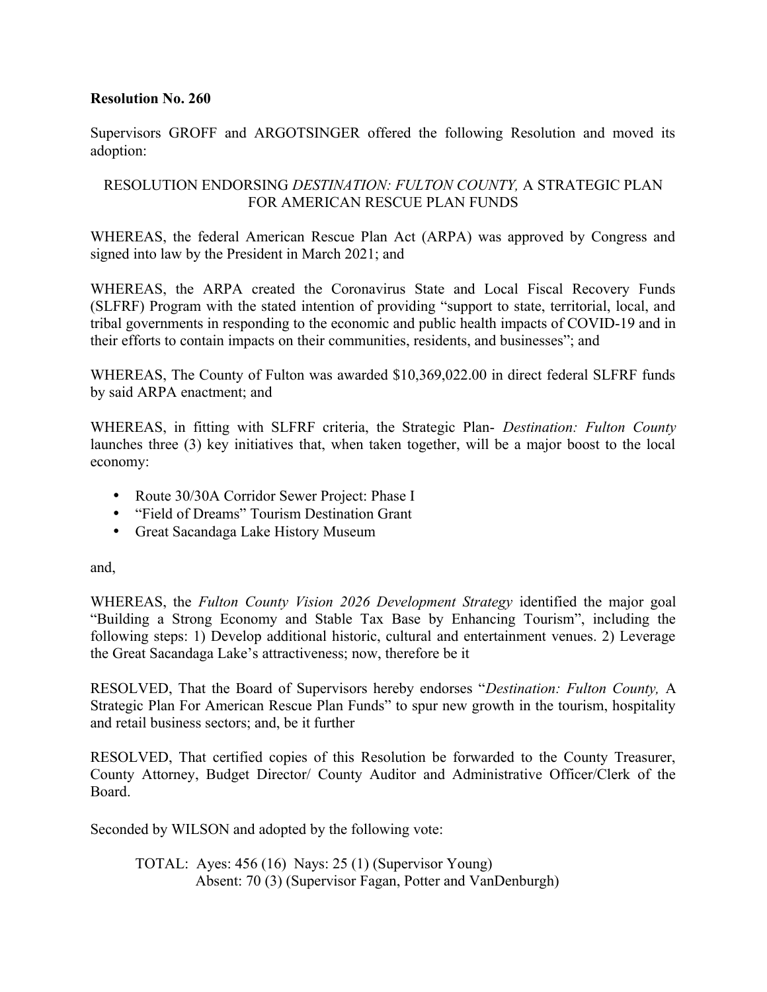Supervisors GROFF and ARGOTSINGER offered the following Resolution and moved its adoption:

## RESOLUTION ENDORSING *DESTINATION: FULTON COUNTY,* A STRATEGIC PLAN FOR AMERICAN RESCUE PLAN FUNDS

WHEREAS, the federal American Rescue Plan Act (ARPA) was approved by Congress and signed into law by the President in March 2021; and

WHEREAS, the ARPA created the Coronavirus State and Local Fiscal Recovery Funds (SLFRF) Program with the stated intention of providing "support to state, territorial, local, and tribal governments in responding to the economic and public health impacts of COVID-19 and in their efforts to contain impacts on their communities, residents, and businesses"; and

WHEREAS, The County of Fulton was awarded \$10,369,022.00 in direct federal SLFRF funds by said ARPA enactment; and

WHEREAS, in fitting with SLFRF criteria, the Strategic Plan- *Destination: Fulton County* launches three (3) key initiatives that, when taken together, will be a major boost to the local economy:

- Route 30/30A Corridor Sewer Project: Phase I
- "Field of Dreams" Tourism Destination Grant
- Great Sacandaga Lake History Museum

and,

WHEREAS, the *Fulton County Vision 2026 Development Strategy* identified the major goal "Building a Strong Economy and Stable Tax Base by Enhancing Tourism", including the following steps: 1) Develop additional historic, cultural and entertainment venues. 2) Leverage the Great Sacandaga Lake's attractiveness; now, therefore be it

RESOLVED, That the Board of Supervisors hereby endorses "*Destination: Fulton County,* A Strategic Plan For American Rescue Plan Funds" to spur new growth in the tourism, hospitality and retail business sectors; and, be it further

RESOLVED, That certified copies of this Resolution be forwarded to the County Treasurer, County Attorney, Budget Director/ County Auditor and Administrative Officer/Clerk of the Board.

Seconded by WILSON and adopted by the following vote:

TOTAL: Ayes: 456 (16) Nays: 25 (1) (Supervisor Young) Absent: 70 (3) (Supervisor Fagan, Potter and VanDenburgh)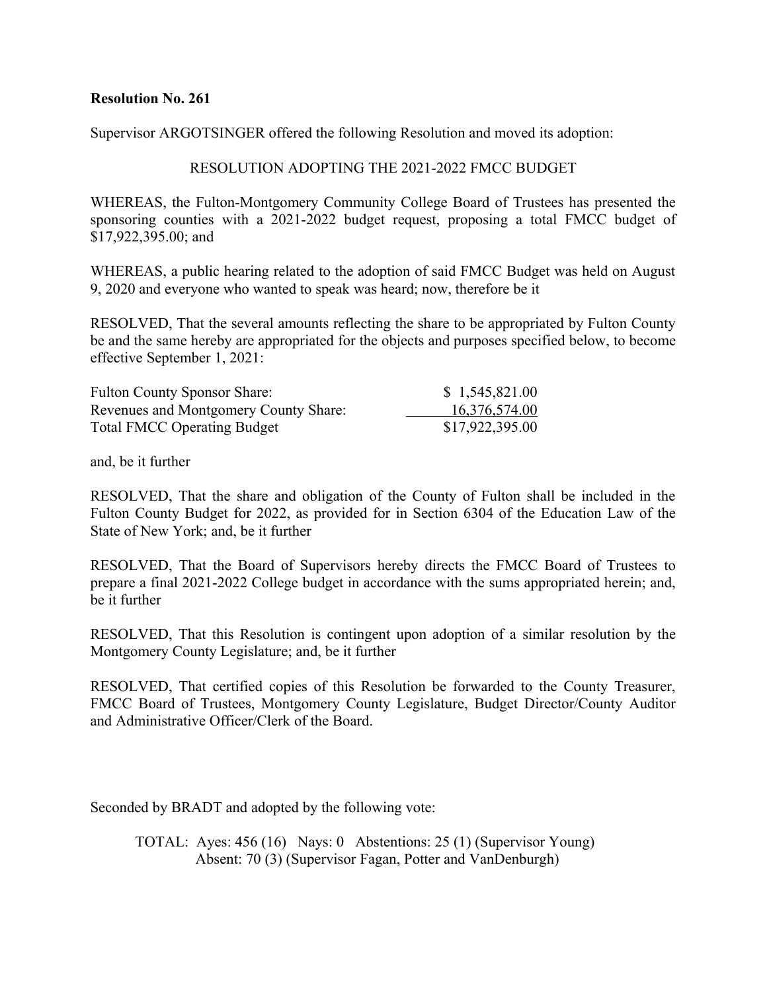Supervisor ARGOTSINGER offered the following Resolution and moved its adoption:

### RESOLUTION ADOPTING THE 2021-2022 FMCC BUDGET

WHEREAS, the Fulton-Montgomery Community College Board of Trustees has presented the sponsoring counties with a 2021-2022 budget request, proposing a total FMCC budget of \$17,922,395.00; and

WHEREAS, a public hearing related to the adoption of said FMCC Budget was held on August 9, 2020 and everyone who wanted to speak was heard; now, therefore be it

RESOLVED, That the several amounts reflecting the share to be appropriated by Fulton County be and the same hereby are appropriated for the objects and purposes specified below, to become effective September 1, 2021:

| <b>Fulton County Sponsor Share:</b>   | \$1,545,821.00  |
|---------------------------------------|-----------------|
| Revenues and Montgomery County Share: | 16,376,574.00   |
| <b>Total FMCC Operating Budget</b>    | \$17,922,395.00 |

and, be it further

RESOLVED, That the share and obligation of the County of Fulton shall be included in the Fulton County Budget for 2022, as provided for in Section 6304 of the Education Law of the State of New York; and, be it further

RESOLVED, That the Board of Supervisors hereby directs the FMCC Board of Trustees to prepare a final 2021-2022 College budget in accordance with the sums appropriated herein; and, be it further

RESOLVED, That this Resolution is contingent upon adoption of a similar resolution by the Montgomery County Legislature; and, be it further

RESOLVED, That certified copies of this Resolution be forwarded to the County Treasurer, FMCC Board of Trustees, Montgomery County Legislature, Budget Director/County Auditor and Administrative Officer/Clerk of the Board.

Seconded by BRADT and adopted by the following vote:

TOTAL: Ayes: 456 (16) Nays: 0 Abstentions: 25 (1) (Supervisor Young) Absent: 70 (3) (Supervisor Fagan, Potter and VanDenburgh)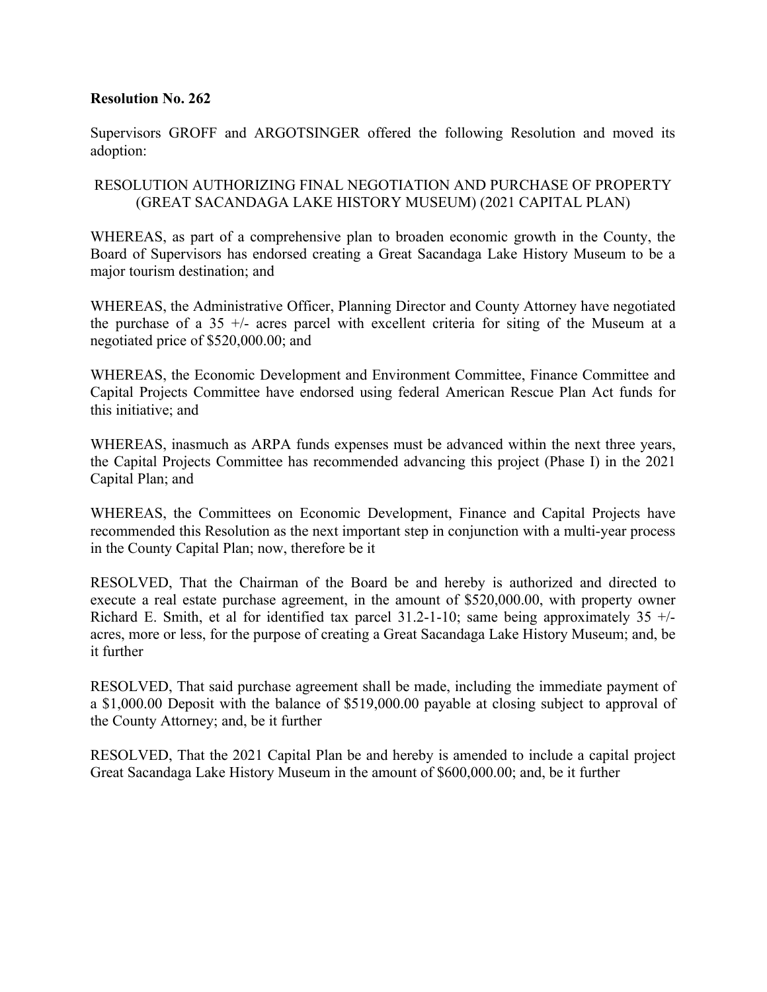Supervisors GROFF and ARGOTSINGER offered the following Resolution and moved its adoption:

## RESOLUTION AUTHORIZING FINAL NEGOTIATION AND PURCHASE OF PROPERTY (GREAT SACANDAGA LAKE HISTORY MUSEUM) (2021 CAPITAL PLAN)

WHEREAS, as part of a comprehensive plan to broaden economic growth in the County, the Board of Supervisors has endorsed creating a Great Sacandaga Lake History Museum to be a major tourism destination; and

WHEREAS, the Administrative Officer, Planning Director and County Attorney have negotiated the purchase of a 35 +/- acres parcel with excellent criteria for siting of the Museum at a negotiated price of \$520,000.00; and

WHEREAS, the Economic Development and Environment Committee, Finance Committee and Capital Projects Committee have endorsed using federal American Rescue Plan Act funds for this initiative; and

WHEREAS, inasmuch as ARPA funds expenses must be advanced within the next three years, the Capital Projects Committee has recommended advancing this project (Phase I) in the 2021 Capital Plan; and

WHEREAS, the Committees on Economic Development, Finance and Capital Projects have recommended this Resolution as the next important step in conjunction with a multi-year process in the County Capital Plan; now, therefore be it

RESOLVED, That the Chairman of the Board be and hereby is authorized and directed to execute a real estate purchase agreement, in the amount of \$520,000.00, with property owner Richard E. Smith, et al for identified tax parcel  $31.2$ -1-10; same being approximately  $35 +/$ acres, more or less, for the purpose of creating a Great Sacandaga Lake History Museum; and, be it further

RESOLVED, That said purchase agreement shall be made, including the immediate payment of a \$1,000.00 Deposit with the balance of \$519,000.00 payable at closing subject to approval of the County Attorney; and, be it further

RESOLVED, That the 2021 Capital Plan be and hereby is amended to include a capital project Great Sacandaga Lake History Museum in the amount of \$600,000.00; and, be it further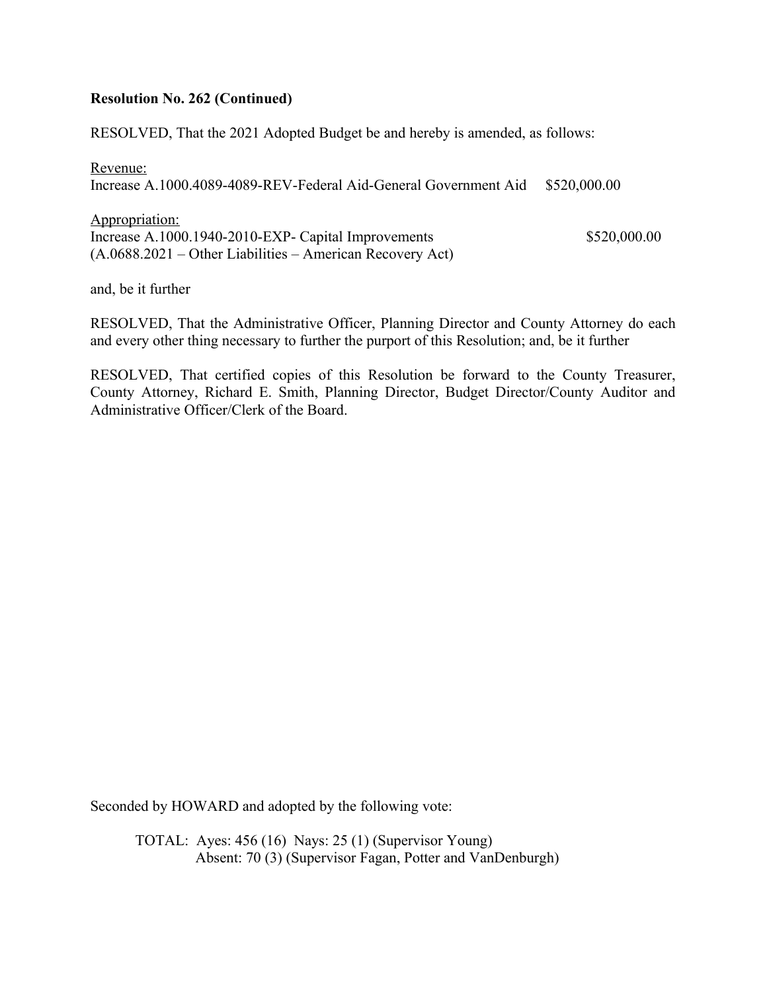#### **Resolution No. 262 (Continued)**

RESOLVED, That the 2021 Adopted Budget be and hereby is amended, as follows:

Revenue: Increase A.1000.4089-4089-REV-Federal Aid-General Government Aid \$520,000.00

Appropriation: Increase A.1000.1940-2010-EXP- Capital Improvements \$520,000.00 (A.0688.2021 – Other Liabilities – American Recovery Act)

and, be it further

RESOLVED, That the Administrative Officer, Planning Director and County Attorney do each and every other thing necessary to further the purport of this Resolution; and, be it further

RESOLVED, That certified copies of this Resolution be forward to the County Treasurer, County Attorney, Richard E. Smith, Planning Director, Budget Director/County Auditor and Administrative Officer/Clerk of the Board.

Seconded by HOWARD and adopted by the following vote:

TOTAL: Ayes: 456 (16) Nays: 25 (1) (Supervisor Young) Absent: 70 (3) (Supervisor Fagan, Potter and VanDenburgh)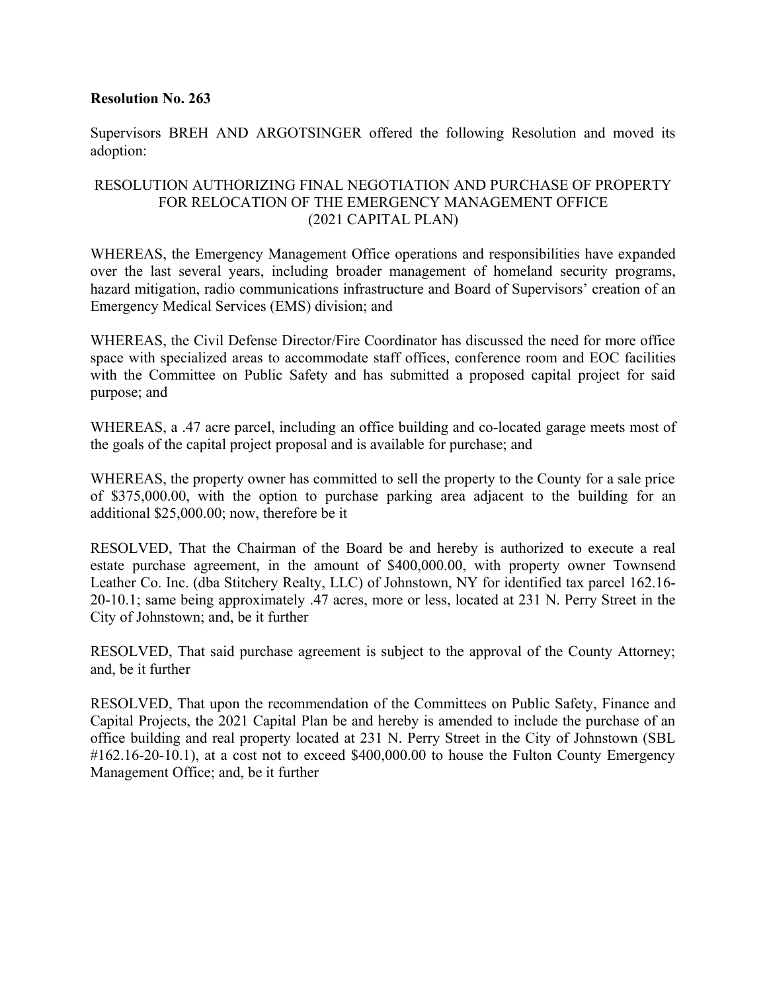Supervisors BREH AND ARGOTSINGER offered the following Resolution and moved its adoption:

## RESOLUTION AUTHORIZING FINAL NEGOTIATION AND PURCHASE OF PROPERTY FOR RELOCATION OF THE EMERGENCY MANAGEMENT OFFICE (2021 CAPITAL PLAN)

WHEREAS, the Emergency Management Office operations and responsibilities have expanded over the last several years, including broader management of homeland security programs, hazard mitigation, radio communications infrastructure and Board of Supervisors' creation of an Emergency Medical Services (EMS) division; and

WHEREAS, the Civil Defense Director/Fire Coordinator has discussed the need for more office space with specialized areas to accommodate staff offices, conference room and EOC facilities with the Committee on Public Safety and has submitted a proposed capital project for said purpose; and

WHEREAS, a .47 acre parcel, including an office building and co-located garage meets most of the goals of the capital project proposal and is available for purchase; and

WHEREAS, the property owner has committed to sell the property to the County for a sale price of \$375,000.00, with the option to purchase parking area adjacent to the building for an additional \$25,000.00; now, therefore be it

RESOLVED, That the Chairman of the Board be and hereby is authorized to execute a real estate purchase agreement, in the amount of \$400,000.00, with property owner Townsend Leather Co. Inc. (dba Stitchery Realty, LLC) of Johnstown, NY for identified tax parcel 162.16- 20-10.1; same being approximately .47 acres, more or less, located at 231 N. Perry Street in the City of Johnstown; and, be it further

RESOLVED, That said purchase agreement is subject to the approval of the County Attorney; and, be it further

RESOLVED, That upon the recommendation of the Committees on Public Safety, Finance and Capital Projects, the 2021 Capital Plan be and hereby is amended to include the purchase of an office building and real property located at 231 N. Perry Street in the City of Johnstown (SBL  $\#162.16-20-10.1$ ), at a cost not to exceed \$400,000.00 to house the Fulton County Emergency Management Office; and, be it further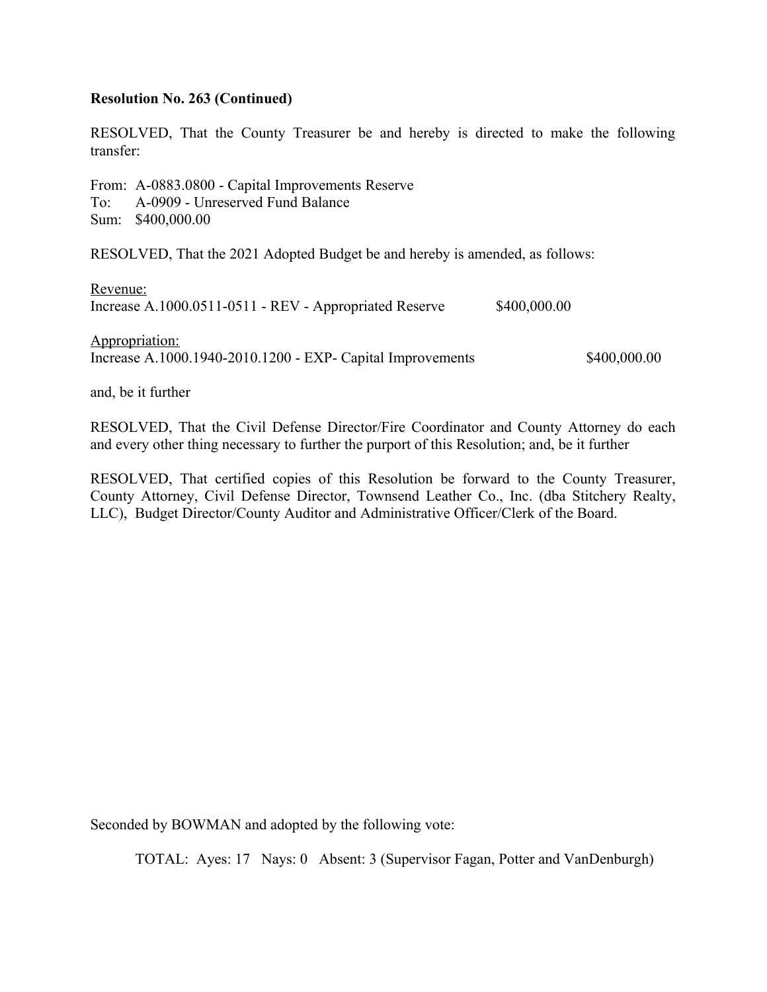#### **Resolution No. 263 (Continued)**

RESOLVED, That the County Treasurer be and hereby is directed to make the following transfer:

From: A-0883.0800 - Capital Improvements Reserve To: A-0909 - Unreserved Fund Balance Sum: \$400,000.00

RESOLVED, That the 2021 Adopted Budget be and hereby is amended, as follows:

Revenue: Increase A.1000.0511-0511 - REV - Appropriated Reserve \$400,000.00

Appropriation: Increase A.1000.1940-2010.1200 - EXP- Capital Improvements \$400,000.00

and, be it further

RESOLVED, That the Civil Defense Director/Fire Coordinator and County Attorney do each and every other thing necessary to further the purport of this Resolution; and, be it further

RESOLVED, That certified copies of this Resolution be forward to the County Treasurer, County Attorney, Civil Defense Director, Townsend Leather Co., Inc. (dba Stitchery Realty, LLC), Budget Director/County Auditor and Administrative Officer/Clerk of the Board.

Seconded by BOWMAN and adopted by the following vote: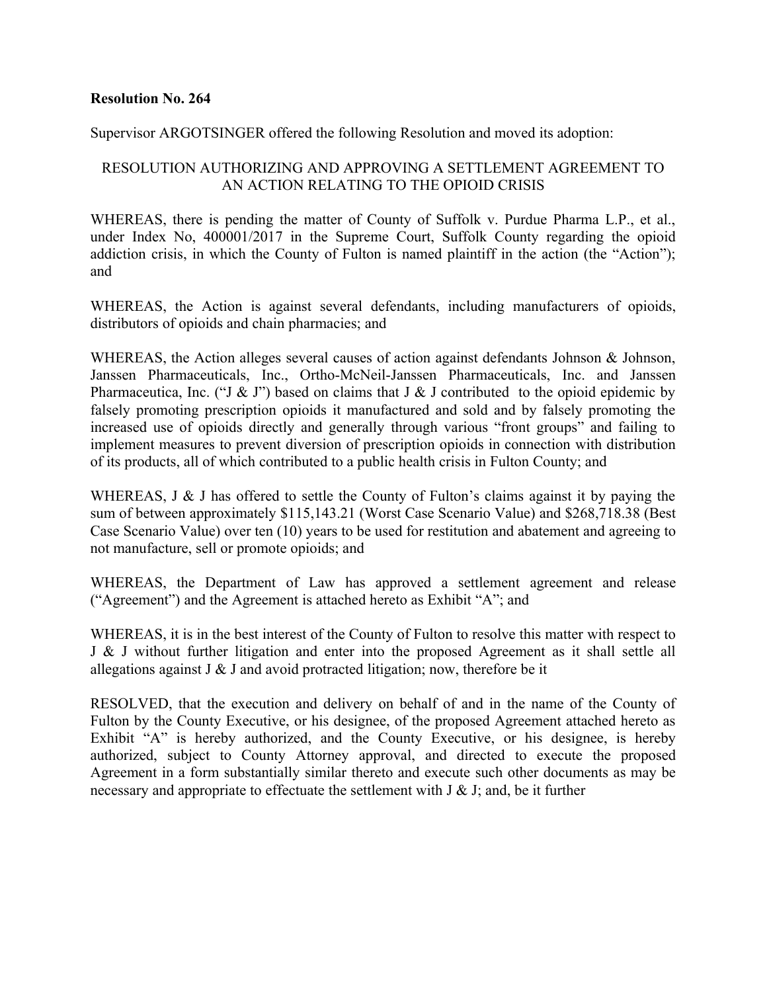#### Supervisor ARGOTSINGER offered the following Resolution and moved its adoption:

## RESOLUTION AUTHORIZING AND APPROVING A SETTLEMENT AGREEMENT TO AN ACTION RELATING TO THE OPIOID CRISIS

WHEREAS, there is pending the matter of County of Suffolk v. Purdue Pharma L.P., et al., under Index No, 400001/2017 in the Supreme Court, Suffolk County regarding the opioid addiction crisis, in which the County of Fulton is named plaintiff in the action (the "Action"); and

WHEREAS, the Action is against several defendants, including manufacturers of opioids, distributors of opioids and chain pharmacies; and

WHEREAS, the Action alleges several causes of action against defendants Johnson & Johnson, Janssen Pharmaceuticals, Inc., Ortho-McNeil-Janssen Pharmaceuticals, Inc. and Janssen Pharmaceutica, Inc. ("J & J") based on claims that J & J contributed to the opioid epidemic by falsely promoting prescription opioids it manufactured and sold and by falsely promoting the increased use of opioids directly and generally through various "front groups" and failing to implement measures to prevent diversion of prescription opioids in connection with distribution of its products, all of which contributed to a public health crisis in Fulton County; and

WHEREAS, J & J has offered to settle the County of Fulton's claims against it by paying the sum of between approximately \$115,143.21 (Worst Case Scenario Value) and \$268,718.38 (Best Case Scenario Value) over ten (10) years to be used for restitution and abatement and agreeing to not manufacture, sell or promote opioids; and

WHEREAS, the Department of Law has approved a settlement agreement and release ("Agreement") and the Agreement is attached hereto as Exhibit "A"; and

WHEREAS, it is in the best interest of the County of Fulton to resolve this matter with respect to J & J without further litigation and enter into the proposed Agreement as it shall settle all allegations against  $J \& J$  and avoid protracted litigation; now, therefore be it

RESOLVED, that the execution and delivery on behalf of and in the name of the County of Fulton by the County Executive, or his designee, of the proposed Agreement attached hereto as Exhibit "A" is hereby authorized, and the County Executive, or his designee, is hereby authorized, subject to County Attorney approval, and directed to execute the proposed Agreement in a form substantially similar thereto and execute such other documents as may be necessary and appropriate to effectuate the settlement with J & J; and, be it further